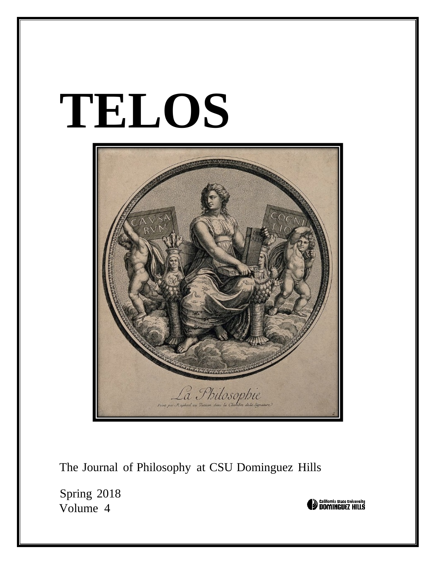# **TELOS**



The Journal of Philosophy at CSU Dominguez Hills

Spring 2018 Volume 4

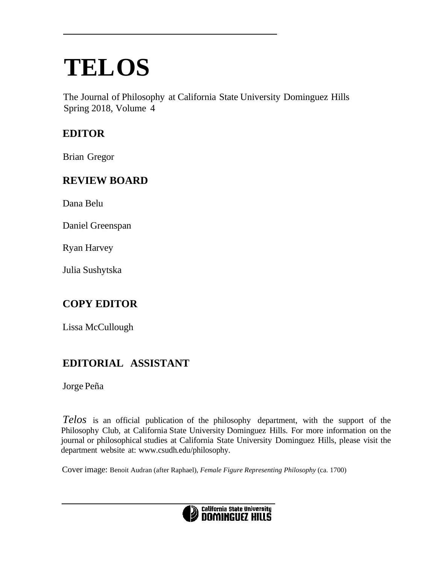## **TELOS**

The Journal of Philosophy at California State University Dominguez Hills Spring 2018, Volume 4

#### **EDITOR**

Brian Gregor

#### **REVIEW BOARD**

Dana Belu

Daniel Greenspan

Ryan Harvey

Julia Sushytska

#### **COPY EDITOR**

Lissa McCullough

#### **EDITORIAL ASSISTANT**

Jorge Peña

*Telos* is an official publication of the philosophy department, with the support of the Philosophy Club, at California State University Dominguez Hills. For more information on the journal or philosophical studies at California State University Dominguez Hills, please visit the department website at: [www.csudh.edu/philosophy.](http://www.csudh.edu/philosophy)

Cover image: Benoit Audran (after Raphael), *Female Figure Representing Philosophy* (ca. 1700)

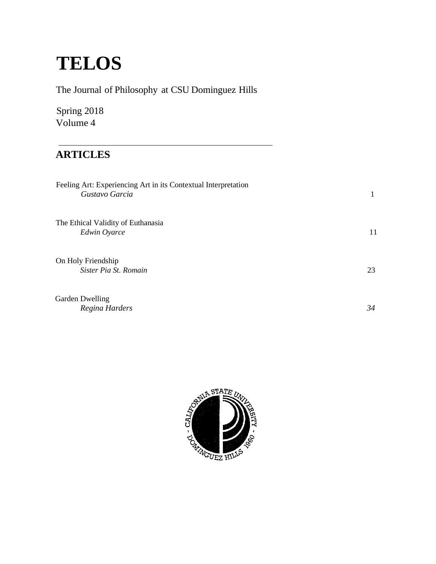### **TELOS**

| The Journal of Philosophy at CSU Dominguez Hills                                 |              |
|----------------------------------------------------------------------------------|--------------|
| Spring 2018<br>Volume 4                                                          |              |
| <b>ARTICLES</b>                                                                  |              |
| Feeling Art: Experiencing Art in its Contextual Interpretation<br>Gustavo Garcia | $\mathbf{1}$ |
| The Ethical Validity of Euthanasia<br>Edwin Oyarce                               | 11           |
| On Holy Friendship<br>Sister Pia St. Romain                                      | 23           |
| <b>Garden Dwelling</b><br>Regina Harders                                         | 34           |

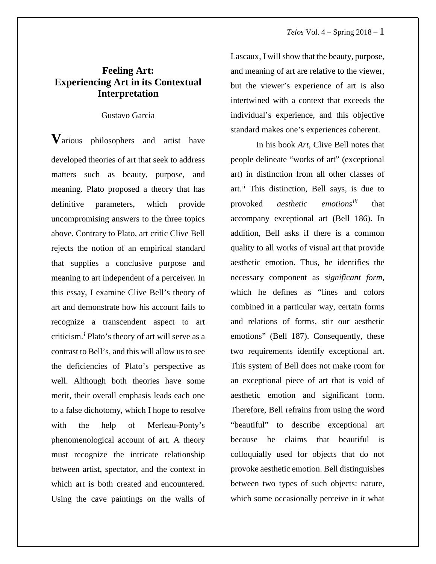#### **Feeling Art: Experiencing Art in its Contextual Interpretation**

#### Gustavo Garcia

**V**arious philosophers and artist have developed theories of art that seek to address matters such as beauty, purpose, and meaning. Plato proposed a theory that has definitive parameters, which provide uncompromising answers to the three topics above. Contrary to Plato, art critic Clive Bell rejects the notion of an empirical standard that supplies a conclusive purpose and meaning to art independent of a perceiver. In this essay, I examine Clive Bell's theory of art and demonstrate how his account fails to recognize a transcendent aspect to art criticism.[i](#page-13-0) Plato's theory of art will serve as a contrast to Bell's, and this will allow us to see the deficiencies of Plato's perspective as well. Although both theories have some merit, their overall emphasis leads each one to a false dichotomy, which I hope to resolve with the help of Merleau-Ponty's phenomenological account of art. A theory must recognize the intricate relationship between artist, spectator, and the context in which art is both created and encountered. Using the cave paintings on the walls of

Lascaux, I will show that the beauty, purpose, and meaning of art are relative to the viewer, but the viewer's experience of art is also intertwined with a context that exceeds the individual's experience, and this objective standard makes one's experiences coherent.

In his book *Art*, Clive Bell notes that people delineate "works of art" (exceptional art) in distinction from all other classes of art.<sup>[ii](#page-14-0)</sup> This distinction, Bell says, is due to provoked *aesthetic emotions[iii](#page-14-1)* that accompany exceptional art (Bell 186). In addition, Bell asks if there is a common quality to all works of visual art that provide aesthetic emotion. Thus, he identifies the necessary component as *significant form*, which he defines as "lines and colors combined in a particular way, certain forms and relations of forms, stir our aesthetic emotions" (Bell 187). Consequently, these two requirements identify exceptional art. This system of Bell does not make room for an exceptional piece of art that is void of aesthetic emotion and significant form. Therefore, Bell refrains from using the word "beautiful" to describe exceptional art because he claims that beautiful is colloquially used for objects that do not provoke aesthetic emotion. Bell distinguishes between two types of such objects: nature, which some occasionally perceive in it what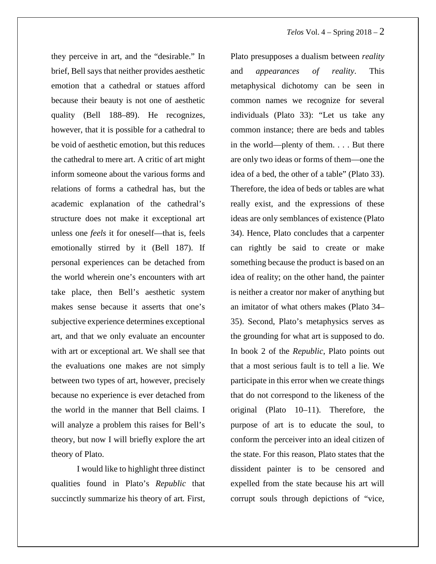they perceive in art, and the "desirable." In brief, Bell says that neither provides aesthetic emotion that a cathedral or statues afford because their beauty is not one of aesthetic quality (Bell 188–89). He recognizes, however, that it is possible for a cathedral to be void of aesthetic emotion, but this reduces the cathedral to mere art. A critic of art might inform someone about the various forms and relations of forms a cathedral has, but the academic explanation of the cathedral's structure does not make it exceptional art unless one *feels* it for oneself—that is, feels emotionally stirred by it (Bell 187). If personal experiences can be detached from the world wherein one's encounters with art take place, then Bell's aesthetic system makes sense because it asserts that one's subjective experience determines exceptional art, and that we only evaluate an encounter with art or exceptional art. We shall see that the evaluations one makes are not simply between two types of art, however, precisely because no experience is ever detached from the world in the manner that Bell claims. I will analyze a problem this raises for Bell's theory, but now I will briefly explore the art theory of Plato.

I would like to highlight three distinct qualities found in Plato's *Republic* that succinctly summarize his theory of art*.* First,

Plato presupposes a dualism between *reality*  and *appearances of reality*. This metaphysical dichotomy can be seen in common names we recognize for several individuals (Plato 33): "Let us take any common instance; there are beds and tables in the world—plenty of them. . . . But there are only two ideas or forms of them—one the idea of a bed, the other of a table" (Plato 33). Therefore, the idea of beds or tables are what really exist, and the expressions of these ideas are only semblances of existence (Plato 34). Hence, Plato concludes that a carpenter can rightly be said to create or make something because the product is based on an idea of reality; on the other hand, the painter is neither a creator nor maker of anything but an imitator of what others makes (Plato 34– 35). Second, Plato's metaphysics serves as the grounding for what art is supposed to do. In book 2 of the *Republic*, Plato points out that a most serious fault is to tell a lie. We participate in this error when we create things that do not correspond to the likeness of the original (Plato 10–11). Therefore, the purpose of art is to educate the soul, to conform the perceiver into an ideal citizen of the state. For this reason, Plato states that the dissident painter is to be censored and expelled from the state because his art will corrupt souls through depictions of "vice,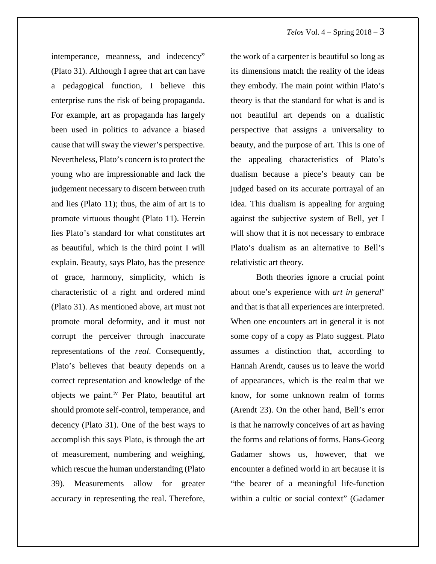intemperance, meanness, and indecency" (Plato 31). Although I agree that art can have a pedagogical function, I believe this enterprise runs the risk of being propaganda. For example, art as propaganda has largely been used in politics to advance a biased cause that will sway the viewer's perspective. Nevertheless, Plato's concern is to protect the young who are impressionable and lack the judgement necessary to discern between truth and lies (Plato 11); thus, the aim of art is to promote virtuous thought (Plato 11). Herein lies Plato's standard for what constitutes art as beautiful, which is the third point I will explain. Beauty, says Plato, has the presence of grace, harmony, simplicity, which is characteristic of a right and ordered mind (Plato 31). As mentioned above, art must not promote moral deformity, and it must not corrupt the perceiver through inaccurate representations of the *real*. Consequently, Plato's believes that beauty depends on a correct representation and knowledge of the objects we paint.[iv](#page-14-2) Per Plato, beautiful art should promote self-control, temperance, and decency (Plato 31). One of the best ways to accomplish this says Plato, is through the art of measurement, numbering and weighing, which rescue the human understanding (Plato 39). Measurements allow for greater accuracy in representing the real. Therefore,

the work of a carpenter is beautiful so long as its dimensions match the reality of the ideas they embody. The main point within Plato's theory is that the standard for what is and is not beautiful art depends on a dualistic perspective that assigns a universality to beauty, and the purpose of art. This is one of the appealing characteristics of Plato's dualism because a piece's beauty can be judged based on its accurate portrayal of an idea. This dualism is appealing for arguing against the subjective system of Bell, yet I will show that it is not necessary to embrace Plato's dualism as an alternative to Bell's relativistic art theory.

Both theories ignore a crucial point about one's experience with *art in general[v](#page-15-0)* and that is that all experiences are interpreted. When one encounters art in general it is not some copy of a copy as Plato suggest. Plato assumes a distinction that, according to Hannah Arendt, causes us to leave the world of appearances, which is the realm that we know, for some unknown realm of forms (Arendt 23). On the other hand, Bell's error is that he narrowly conceives of art as having the forms and relations of forms. Hans-Georg Gadamer shows us, however, that we encounter a defined world in art because it is "the bearer of a meaningful life-function within a cultic or social context" (Gadamer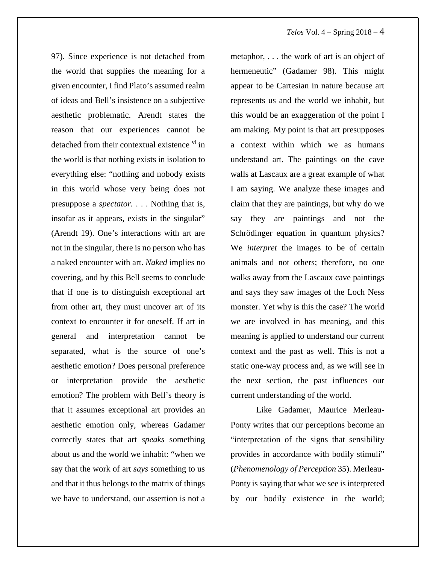97). Since experience is not detached from the world that supplies the meaning for a given encounter, I find Plato's assumed realm of ideas and Bell's insistence on a subjective aesthetic problematic. Arendt states the reason that our experiences cannot be detached from their contextual existence [vi](#page-16-0) in the world is that nothing exists in isolation to everything else: "nothing and nobody exists in this world whose very being does not presuppose a *spectator.* . . . Nothing that is, insofar as it appears, exists in the singular" (Arendt 19). One's interactions with art are not in the singular, there is no person who has a naked encounter with art. *Naked* implies no covering, and by this Bell seems to conclude that if one is to distinguish exceptional art from other art, they must uncover art of its context to encounter it for oneself. If art in general and interpretation cannot be separated, what is the source of one's aesthetic emotion? Does personal preference or interpretation provide the aesthetic emotion? The problem with Bell's theory is that it assumes exceptional art provides an aesthetic emotion only, whereas Gadamer correctly states that art *speaks* something about us and the world we inhabit: "when we say that the work of art *says* something to us and that it thus belongs to the matrix of things we have to understand, our assertion is not a

metaphor, . . . the work of art is an object of hermeneutic" (Gadamer 98). This might appear to be Cartesian in nature because art represents us and the world we inhabit, but this would be an exaggeration of the point I am making. My point is that art presupposes a context within which we as humans understand art. The paintings on the cave walls at Lascaux are a great example of what I am saying. We analyze these images and claim that they are paintings, but why do we say they are paintings and not the Schrödinger equation in quantum physics? We *interpret* the images to be of certain animals and not others; therefore, no one walks away from the Lascaux cave paintings and says they saw images of the Loch Ness monster. Yet why is this the case? The world we are involved in has meaning, and this meaning is applied to understand our current context and the past as well. This is not a static one-way process and, as we will see in the next section, the past influences our current understanding of the world.

Like Gadamer, Maurice Merleau-Ponty writes that our perceptions become an "interpretation of the signs that sensibility provides in accordance with bodily stimuli" (*Phenomenology of Perception* 35). Merleau-Ponty is saying that what we see is interpreted by our bodily existence in the world;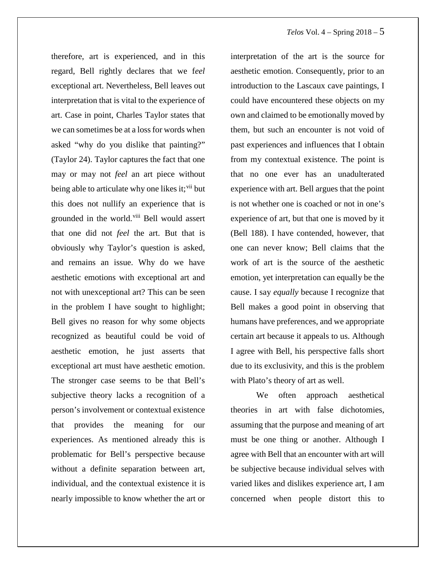therefore, art is experienced, and in this regard, Bell rightly declares that we f*eel*  exceptional art. Nevertheless, Bell leaves out interpretation that is vital to the experience of art. Case in point, Charles Taylor states that we can sometimes be at a loss for words when asked "why do you dislike that painting?" (Taylor 24). Taylor captures the fact that one may or may not *feel* an art piece without being able to articulate why one likes it; [vii](#page-16-1) but this does not nullify an experience that is grounded in the world.<sup>[viii](#page-16-2)</sup> Bell would assert that one did not *feel* the art. But that is obviously why Taylor's question is asked, and remains an issue. Why do we have aesthetic emotions with exceptional art and not with unexceptional art? This can be seen in the problem I have sought to highlight; Bell gives no reason for why some objects recognized as beautiful could be void of aesthetic emotion, he just asserts that exceptional art must have aesthetic emotion. The stronger case seems to be that Bell's subjective theory lacks a recognition of a person's involvement or contextual existence that provides the meaning for our experiences. As mentioned already this is problematic for Bell's perspective because without a definite separation between art, individual, and the contextual existence it is nearly impossible to know whether the art or

interpretation of the art is the source for aesthetic emotion. Consequently, prior to an introduction to the Lascaux cave paintings, I could have encountered these objects on my own and claimed to be emotionally moved by them, but such an encounter is not void of past experiences and influences that I obtain from my contextual existence. The point is that no one ever has an unadulterated experience with art. Bell argues that the point is not whether one is coached or not in one's experience of art, but that one is moved by it (Bell 188). I have contended, however, that one can never know; Bell claims that the work of art is the source of the aesthetic emotion, yet interpretation can equally be the cause. I say *equally* because I recognize that Bell makes a good point in observing that humans have preferences, and we appropriate certain art because it appeals to us. Although I agree with Bell, his perspective falls short due to its exclusivity, and this is the problem with Plato's theory of art as well.

We often approach aesthetical theories in art with false dichotomies, assuming that the purpose and meaning of art must be one thing or another. Although I agree with Bell that an encounter with art will be subjective because individual selves with varied likes and dislikes experience art, I am concerned when people distort this to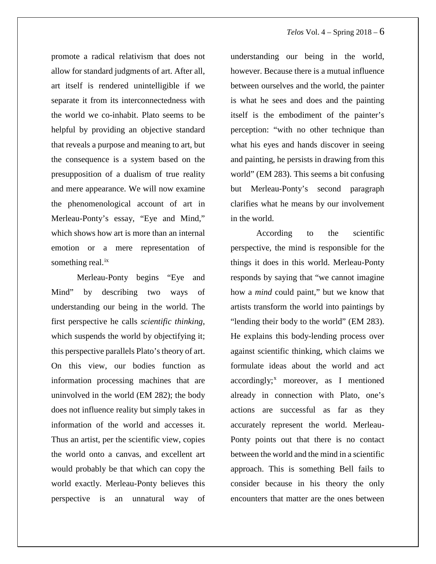promote a radical relativism that does not allow for standard judgments of art. After all, art itself is rendered unintelligible if we separate it from its interconnectedness with the world we co-inhabit. Plato seems to be helpful by providing an objective standard that reveals a purpose and meaning to art, but the consequence is a system based on the presupposition of a dualism of true reality and mere appearance. We will now examine the phenomenological account of art in Merleau-Ponty's essay, "Eye and Mind," which shows how art is more than an internal emotion or a mere representation of something real.<sup>[ix](#page-16-3)</sup>

Merleau-Ponty begins "Eye and Mind" by describing two ways of understanding our being in the world. The first perspective he calls *scientific thinking*, which suspends the world by objectifying it; this perspective parallels Plato's theory of art. On this view, our bodies function as information processing machines that are uninvolved in the world (EM 282); the body does not influence reality but simply takes in information of the world and accesses it. Thus an artist, per the scientific view, copies the world onto a canvas, and excellent art would probably be that which can copy the world exactly. Merleau-Ponty believes this perspective is an unnatural way of

understanding our being in the world, however. Because there is a mutual influence between ourselves and the world, the painter is what he sees and does and the painting itself is the embodiment of the painter's perception: "with no other technique than what his eyes and hands discover in seeing and painting, he persists in drawing from this world" (EM 283). This seems a bit confusing but Merleau-Ponty's second paragraph clarifies what he means by our involvement in the world.

According to the scientific perspective, the mind is responsible for the things it does in this world. Merleau-Ponty responds by saying that "we cannot imagine how a *mind* could paint," but we know that artists transform the world into paintings by "lending their body to the world" (EM 283). He explains this body-lending process over against scientific thinking, which claims we formulate ideas about the world and act  $accordingly;^x$  $accordingly;^x$  moreover, as I mentioned already in connection with Plato, one's actions are successful as far as they accurately represent the world. Merleau-Ponty points out that there is no contact between the world and the mind in a scientific approach. This is something Bell fails to consider because in his theory the only encounters that matter are the ones between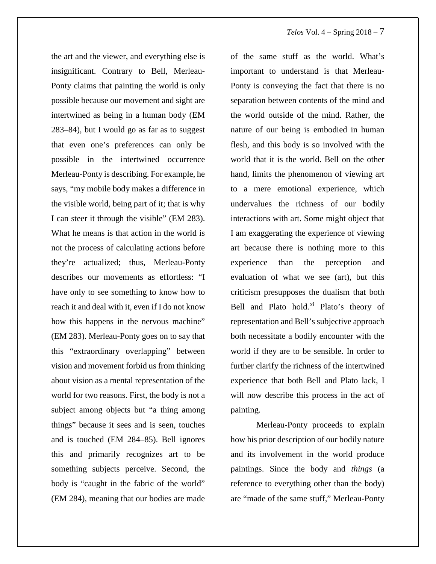the art and the viewer, and everything else is insignificant. Contrary to Bell, Merleau-Ponty claims that painting the world is only possible because our movement and sight are intertwined as being in a human body (EM 283–84), but I would go as far as to suggest that even one's preferences can only be possible in the intertwined occurrence Merleau-Ponty is describing. For example, he says, "my mobile body makes a difference in the visible world, being part of it; that is why I can steer it through the visible" (EM 283). What he means is that action in the world is not the process of calculating actions before they're actualized; thus, Merleau-Ponty describes our movements as effortless: "I have only to see something to know how to reach it and deal with it, even if I do not know how this happens in the nervous machine" (EM 283). Merleau-Ponty goes on to say that this "extraordinary overlapping" between vision and movement forbid us from thinking about vision as a mental representation of the world for two reasons. First, the body is not a subject among objects but "a thing among things" because it sees and is seen, touches and is touched (EM 284–85). Bell ignores this and primarily recognizes art to be something subjects perceive. Second, the body is "caught in the fabric of the world" (EM 284), meaning that our bodies are made

of the same stuff as the world. What's important to understand is that Merleau-Ponty is conveying the fact that there is no separation between contents of the mind and the world outside of the mind. Rather, the nature of our being is embodied in human flesh, and this body is so involved with the world that it is the world. Bell on the other hand, limits the phenomenon of viewing art to a mere emotional experience, which undervalues the richness of our bodily interactions with art. Some might object that I am exaggerating the experience of viewing art because there is nothing more to this experience than the perception and evaluation of what we see (art), but this criticism presupposes the dualism that both Bell and Plato hold. $x^i$  Plato's theory of representation and Bell's subjective approach both necessitate a bodily encounter with the world if they are to be sensible. In order to further clarify the richness of the intertwined experience that both Bell and Plato lack, I will now describe this process in the act of painting.

Merleau-Ponty proceeds to explain how his prior description of our bodily nature and its involvement in the world produce paintings. Since the body and *things* (a reference to everything other than the body) are "made of the same stuff," Merleau-Ponty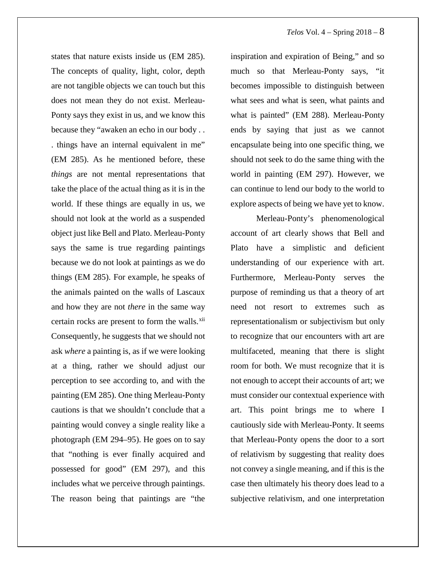states that nature exists inside us (EM 285). The concepts of quality, light, color, depth are not tangible objects we can touch but this does not mean they do not exist. Merleau-Ponty says they exist in us, and we know this because they "awaken an echo in our body . . . things have an internal equivalent in me" (EM 285). As he mentioned before, these *things* are not mental representations that take the place of the actual thing as it is in the world. If these things are equally in us, we should not look at the world as a suspended object just like Bell and Plato. Merleau-Ponty says the same is true regarding paintings because we do not look at paintings as we do things (EM 285). For example, he speaks of the animals painted on the walls of Lascaux and how they are not *there* in the same way certain rocks are present to form the walls.<sup>[xii](#page-17-1)</sup> Consequently, he suggests that we should not ask *where* a painting is, as if we were looking at a thing, rather we should adjust our perception to see according to, and with the painting (EM 285). One thing Merleau-Ponty cautions is that we shouldn't conclude that a painting would convey a single reality like a photograph (EM 294–95). He goes on to say that "nothing is ever finally acquired and possessed for good" (EM 297), and this includes what we perceive through paintings. The reason being that paintings are "the

inspiration and expiration of Being," and so much so that Merleau-Ponty says, "it becomes impossible to distinguish between what sees and what is seen, what paints and what is painted" (EM 288). Merleau-Ponty ends by saying that just as we cannot encapsulate being into one specific thing, we should not seek to do the same thing with the world in painting (EM 297). However, we can continue to lend our body to the world to explore aspects of being we have yet to know.

Merleau-Ponty's phenomenological account of art clearly shows that Bell and Plato have a simplistic and deficient understanding of our experience with art. Furthermore, Merleau-Ponty serves the purpose of reminding us that a theory of art need not resort to extremes such as representationalism or subjectivism but only to recognize that our encounters with art are multifaceted, meaning that there is slight room for both. We must recognize that it is not enough to accept their accounts of art; we must consider our contextual experience with art. This point brings me to where I cautiously side with Merleau-Ponty. It seems that Merleau-Ponty opens the door to a sort of relativism by suggesting that reality does not convey a single meaning, and if this is the case then ultimately his theory does lead to a subjective relativism, and one interpretation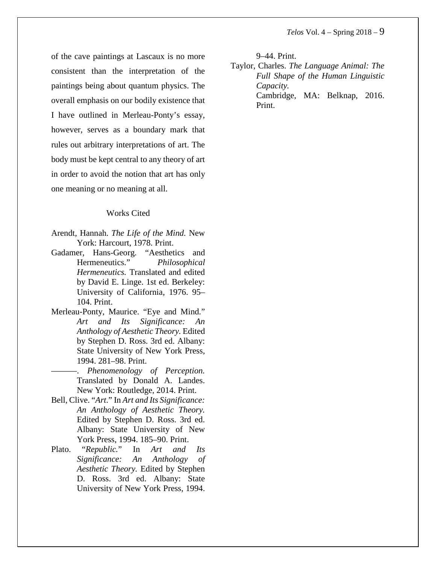of the cave paintings at Lascaux is no more consistent than the interpretation of the paintings being about quantum physics. The overall emphasis on our bodily existence that I have outlined in Merleau-Ponty's essay, however, serves as a boundary mark that rules out arbitrary interpretations of art. The body must be kept central to any theory of art in order to avoid the notion that art has only one meaning or no meaning at all.

#### Works Cited

- Arendt, Hannah. *The Life of the Mind.* New York: Harcourt, 1978. Print.
- Gadamer, Hans-Georg. "Aesthetics and Hermeneutics." *Philosophical Hermeneutics.* Translated and edited by David E. Linge. 1st ed. Berkeley: University of California, 1976. 95– 104. Print.
- Merleau-Ponty, Maurice. "Eye and Mind*.*" *Art and Its Significance: An Anthology of Aesthetic Theory.* Edited by Stephen D. Ross. 3rd ed. Albany: State University of New York Press, 1994. 281–98. Print.
	- ———. *Phenomenology of Perception.*  Translated by Donald A. Landes. New York: Routledge, 2014. Print.
- Bell, Clive. "*Art*." In *Art and Its Significance: An Anthology of Aesthetic Theory.* Edited by Stephen D. Ross. 3rd ed. Albany: State University of New York Press, 1994. 185–90. Print.
- Plato. "*Republic.*" In *Art and Its Significance: An Anthology of Aesthetic Theory.* Edited by Stephen D. Ross. 3rd ed. Albany: State University of New York Press, 1994.

9–44. Print.

Taylor, Charles. *The Language Animal: The Full Shape of the Human Linguistic Capacity.* Cambridge, MA: Belknap, 2016.

Print.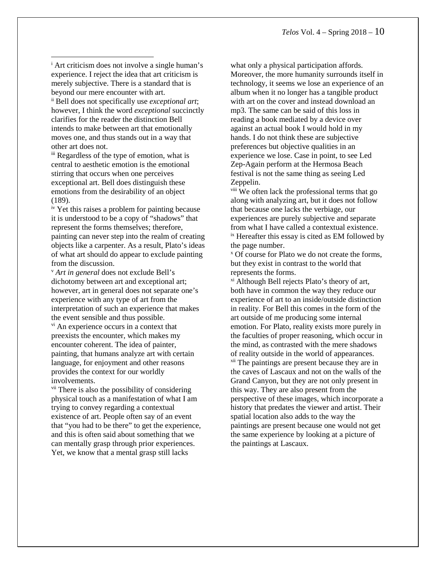<span id="page-13-0"></span><sup>i</sup> Art criticism does not involve a single human's experience. I reject the idea that art criticism is merely subjective. There is a standard that is beyond our mere encounter with art. ii Bell does not specifically use *exceptional art*; however, I think the word *exceptional* succinctly clarifies for the reader the distinction Bell intends to make between art that emotionally moves one, and thus stands out in a way that other art does not.  $\overline{\phantom{a}}$ 

iii Regardless of the type of emotion, what is central to aesthetic emotion is the emotional stirring that occurs when one perceives exceptional art. Bell does distinguish these emotions from the desirability of an object (189).

iv Yet this raises a problem for painting because it is understood to be a copy of "shadows" that represent the forms themselves; therefore, painting can never step into the realm of creating objects like a carpenter. As a result, Plato's ideas of what art should do appear to exclude painting from the discussion.

<sup>v</sup> *Art in general* does not exclude Bell's dichotomy between art and exceptional art; however, art in general does not separate one's experience with any type of art from the interpretation of such an experience that makes the event sensible and thus possible.

vi An experience occurs in a context that preexists the encounter, which makes my encounter coherent. The idea of painter, painting, that humans analyze art with certain language, for enjoyment and other reasons provides the context for our worldly involvements.

vii There is also the possibility of considering physical touch as a manifestation of what I am trying to convey regarding a contextual existence of art. People often say of an event that "you had to be there" to get the experience, and this is often said about something that we can mentally grasp through prior experiences. Yet, we know that a mental grasp still lacks

what only a physical participation affords. Moreover, the more humanity surrounds itself in technology, it seems we lose an experience of an album when it no longer has a tangible product with art on the cover and instead download an mp3. The same can be said of this loss in reading a book mediated by a device over against an actual book I would hold in my hands. I do not think these are subjective preferences but objective qualities in an experience we lose. Case in point, to see Led Zep-Again perform at the Hermosa Beach festival is not the same thing as seeing Led Zeppelin.

viii We often lack the professional terms that go along with analyzing art, but it does not follow that because one lacks the verbiage, our experiences are purely subjective and separate from what I have called a contextual existence. ix Hereafter this essay is cited as EM followed by the page number.

<sup>x</sup> Of course for Plato we do not create the forms, but they exist in contrast to the world that represents the forms.

xi Although Bell rejects Plato's theory of art, both have in common the way they reduce our experience of art to an inside/outside distinction in reality. For Bell this comes in the form of the art outside of me producing some internal emotion. For Plato, reality exists more purely in the faculties of proper reasoning, which occur in the mind, as contrasted with the mere shadows of reality outside in the world of appearances. xii The paintings are present because they are in the caves of Lascaux and not on the walls of the Grand Canyon, but they are not only present in this way. They are also present from the perspective of these images, which incorporate a history that predates the viewer and artist. Their spatial location also adds to the way the paintings are present because one would not get the same experience by looking at a picture of the paintings at Lascaux.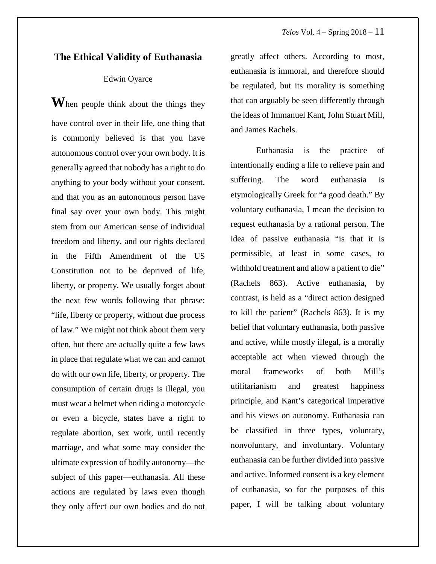#### **The Ethical Validity of Euthanasia**

#### Edwin Oyarce

<span id="page-14-2"></span><span id="page-14-1"></span><span id="page-14-0"></span>**W**hen people think about the things they have control over in their life, one thing that is commonly believed is that you have autonomous control over your own body. It is generally agreed that nobody has a right to do anything to your body without your consent, and that you as an autonomous person have final say over your own body. This might stem from our American sense of individual freedom and liberty, and our rights declared in the Fifth Amendment of the US Constitution not to be deprived of life, liberty, or property. We usually forget about the next few words following that phrase: "life, liberty or property, without due process of law." We might not think about them very often, but there are actually quite a few laws in place that regulate what we can and cannot do with our own life, liberty, or property. The consumption of certain drugs is illegal, you must wear a helmet when riding a motorcycle or even a bicycle, states have a right to regulate abortion, sex work, until recently marriage, and what some may consider the ultimate expression of bodily autonomy—the subject of this paper—euthanasia. All these actions are regulated by laws even though they only affect our own bodies and do not

greatly affect others. According to most, euthanasia is immoral, and therefore should be regulated, but its morality is something that can arguably be seen differently through the ideas of Immanuel Kant, John Stuart Mill, and James Rachels.

Euthanasia is the practice of intentionally ending a life to relieve pain and suffering. The word euthanasia is etymologically Greek for "a good death." By voluntary euthanasia, I mean the decision to request euthanasia by a rational person. The idea of passive euthanasia "is that it is permissible, at least in some cases, to withhold treatment and allow a patient to die" (Rachels 863). Active euthanasia, by contrast, is held as a "direct action designed to kill the patient" (Rachels 863). It is my belief that voluntary euthanasia, both passive and active, while mostly illegal, is a morally acceptable act when viewed through the moral frameworks of both Mill's utilitarianism and greatest happiness principle, and Kant's categorical imperative and his views on autonomy. Euthanasia can be classified in three types, voluntary, nonvoluntary, and involuntary. Voluntary euthanasia can be further divided into passive and active. Informed consent is a key element of euthanasia, so for the purposes of this paper, I will be talking about voluntary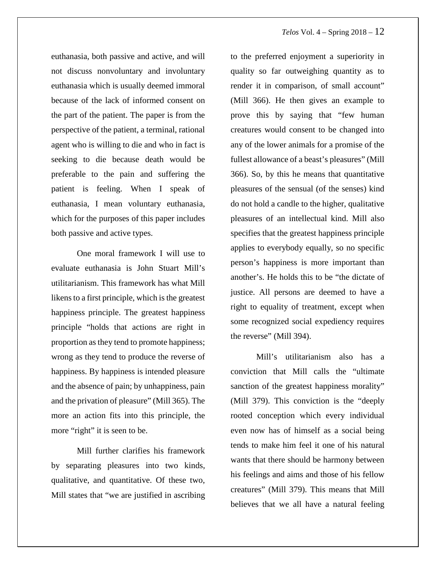euthanasia, both passive and active, and will not discuss nonvoluntary and involuntary euthanasia which is usually deemed immoral because of the lack of informed consent on the part of the patient. The paper is from the perspective of the patient, a terminal, rational agent who is willing to die and who in fact is seeking to die because death would be preferable to the pain and suffering the patient is feeling. When I speak of euthanasia, I mean voluntary euthanasia, which for the purposes of this paper includes both passive and active types.

<span id="page-15-0"></span>One moral framework I will use to evaluate euthanasia is John Stuart Mill's utilitarianism. This framework has what Mill likens to a first principle, which is the greatest happiness principle. The greatest happiness principle "holds that actions are right in proportion as they tend to promote happiness; wrong as they tend to produce the reverse of happiness. By happiness is intended pleasure and the absence of pain; by unhappiness, pain and the privation of pleasure" (Mill 365). The more an action fits into this principle, the more "right" it is seen to be.

Mill further clarifies his framework by separating pleasures into two kinds, qualitative, and quantitative. Of these two, Mill states that "we are justified in ascribing

to the preferred enjoyment a superiority in quality so far outweighing quantity as to render it in comparison, of small account" (Mill 366). He then gives an example to prove this by saying that "few human creatures would consent to be changed into any of the lower animals for a promise of the fullest allowance of a beast's pleasures" (Mill 366). So, by this he means that quantitative pleasures of the sensual (of the senses) kind do not hold a candle to the higher, qualitative pleasures of an intellectual kind. Mill also specifies that the greatest happiness principle applies to everybody equally, so no specific person's happiness is more important than another's. He holds this to be "the dictate of justice. All persons are deemed to have a right to equality of treatment, except when some recognized social expediency requires the reverse" (Mill 394).

Mill's utilitarianism also has a conviction that Mill calls the "ultimate sanction of the greatest happiness morality" (Mill 379). This conviction is the "deeply rooted conception which every individual even now has of himself as a social being tends to make him feel it one of his natural wants that there should be harmony between his feelings and aims and those of his fellow creatures" (Mill 379). This means that Mill believes that we all have a natural feeling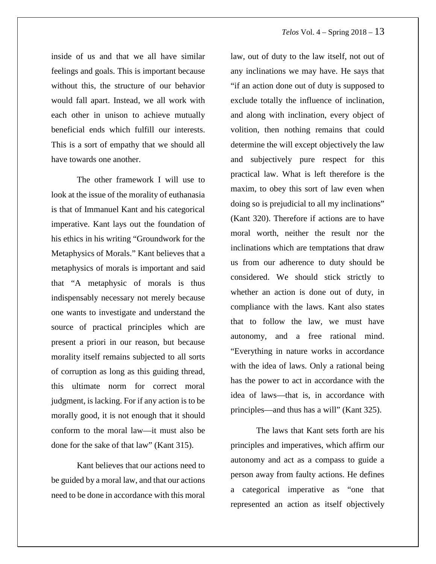inside of us and that we all have similar feelings and goals. This is important because without this, the structure of our behavior would fall apart. Instead, we all work with each other in unison to achieve mutually beneficial ends which fulfill our interests. This is a sort of empathy that we should all have towards one another.

<span id="page-16-4"></span><span id="page-16-3"></span><span id="page-16-2"></span>The other framework I will use to look at the issue of the morality of euthanasia is that of Immanuel Kant and his categorical imperative. Kant lays out the foundation of his ethics in his writing "Groundwork for the Metaphysics of Morals." Kant believes that a metaphysics of morals is important and said that "A metaphysic of morals is thus indispensably necessary not merely because one wants to investigate and understand the source of practical principles which are present a priori in our reason, but because morality itself remains subjected to all sorts of corruption as long as this guiding thread, this ultimate norm for correct moral judgment, is lacking. For if any action is to be morally good, it is not enough that it should conform to the moral law—it must also be done for the sake of that law" (Kant 315).

<span id="page-16-1"></span><span id="page-16-0"></span>Kant believes that our actions need to be guided by a moral law, and that our actions need to be done in accordance with this moral

law, out of duty to the law itself, not out of any inclinations we may have. He says that "if an action done out of duty is supposed to exclude totally the influence of inclination, and along with inclination, every object of volition, then nothing remains that could determine the will except objectively the law and subjectively pure respect for this practical law. What is left therefore is the maxim, to obey this sort of law even when doing so is prejudicial to all my inclinations" (Kant 320). Therefore if actions are to have moral worth, neither the result nor the inclinations which are temptations that draw us from our adherence to duty should be considered. We should stick strictly to whether an action is done out of duty, in compliance with the laws. Kant also states that to follow the law, we must have autonomy, and a free rational mind. "Everything in nature works in accordance with the idea of laws. Only a rational being has the power to act in accordance with the idea of laws—that is, in accordance with principles—and thus has a will" (Kant 325).

The laws that Kant sets forth are his principles and imperatives, which affirm our autonomy and act as a compass to guide a person away from faulty actions. He defines a categorical imperative as "one that represented an action as itself objectively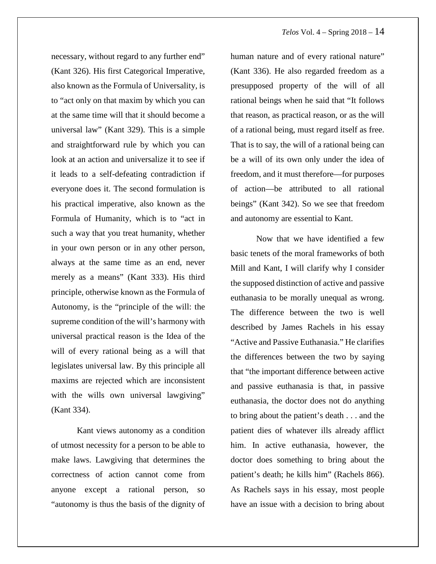necessary, without regard to any further end" (Kant 326). His first Categorical Imperative, also known as the Formula of Universality, is to "act only on that maxim by which you can at the same time will that it should become a universal law" (Kant 329). This is a simple and straightforward rule by which you can look at an action and universalize it to see if it leads to a self-defeating contradiction if everyone does it. The second formulation is his practical imperative, also known as the Formula of Humanity, which is to "act in such a way that you treat humanity, whether in your own person or in any other person, always at the same time as an end, never merely as a means" (Kant 333). His third principle, otherwise known as the Formula of Autonomy, is the "principle of the will: the supreme condition of the will's harmony with universal practical reason is the Idea of the will of every rational being as a will that legislates universal law. By this principle all maxims are rejected which are inconsistent with the wills own universal lawgiving" (Kant 334).

<span id="page-17-1"></span><span id="page-17-0"></span>Kant views autonomy as a condition of utmost necessity for a person to be able to make laws. Lawgiving that determines the correctness of action cannot come from anyone except a rational person, so "autonomy is thus the basis of the dignity of human nature and of every rational nature" (Kant 336). He also regarded freedom as a presupposed property of the will of all rational beings when he said that "It follows that reason, as practical reason, or as the will of a rational being, must regard itself as free. That is to say, the will of a rational being can be a will of its own only under the idea of freedom, and it must therefore—for purposes of action—be attributed to all rational beings" (Kant 342). So we see that freedom and autonomy are essential to Kant.

Now that we have identified a few basic tenets of the moral frameworks of both Mill and Kant, I will clarify why I consider the supposed distinction of active and passive euthanasia to be morally unequal as wrong. The difference between the two is well described by James Rachels in his essay "Active and Passive Euthanasia." He clarifies the differences between the two by saying that "the important difference between active and passive euthanasia is that, in passive euthanasia, the doctor does not do anything to bring about the patient's death . . . and the patient dies of whatever ills already afflict him. In active euthanasia, however, the doctor does something to bring about the patient's death; he kills him" (Rachels 866). As Rachels says in his essay, most people have an issue with a decision to bring about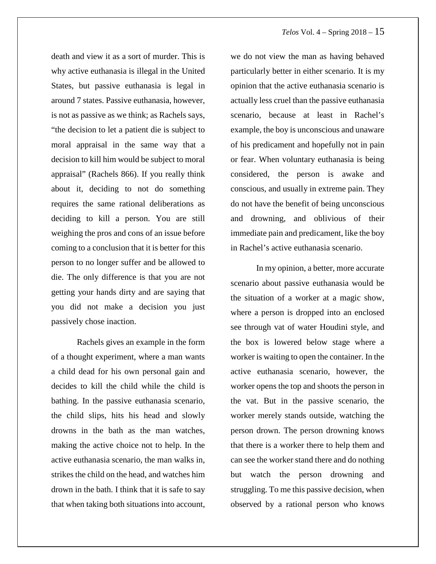death and view it as a sort of murder. This is why active euthanasia is illegal in the United States, but passive euthanasia is legal in around 7 states. Passive euthanasia, however, is not as passive as we think; as Rachels says, "the decision to let a patient die is subject to moral appraisal in the same way that a decision to kill him would be subject to moral appraisal" (Rachels 866). If you really think about it, deciding to not do something requires the same rational deliberations as deciding to kill a person. You are still weighing the pros and cons of an issue before coming to a conclusion that it is better for this person to no longer suffer and be allowed to die. The only difference is that you are not getting your hands dirty and are saying that you did not make a decision you just passively chose inaction.

Rachels gives an example in the form of a thought experiment, where a man wants a child dead for his own personal gain and decides to kill the child while the child is bathing. In the passive euthanasia scenario, the child slips, hits his head and slowly drowns in the bath as the man watches, making the active choice not to help. In the active euthanasia scenario, the man walks in, strikes the child on the head, and watches him drown in the bath. I think that it is safe to say that when taking both situations into account,

we do not view the man as having behaved particularly better in either scenario. It is my opinion that the active euthanasia scenario is actually less cruel than the passive euthanasia scenario, because at least in Rachel's example, the boy is unconscious and unaware of his predicament and hopefully not in pain or fear. When voluntary euthanasia is being considered, the person is awake and conscious, and usually in extreme pain. They do not have the benefit of being unconscious and drowning, and oblivious of their immediate pain and predicament, like the boy in Rachel's active euthanasia scenario.

In my opinion, a better, more accurate scenario about passive euthanasia would be the situation of a worker at a magic show, where a person is dropped into an enclosed see through vat of water Houdini style, and the box is lowered below stage where a worker is waiting to open the container. In the active euthanasia scenario, however, the worker opens the top and shoots the person in the vat. But in the passive scenario, the worker merely stands outside, watching the person drown. The person drowning knows that there is a worker there to help them and can see the worker stand there and do nothing but watch the person drowning and struggling. To me this passive decision, when observed by a rational person who knows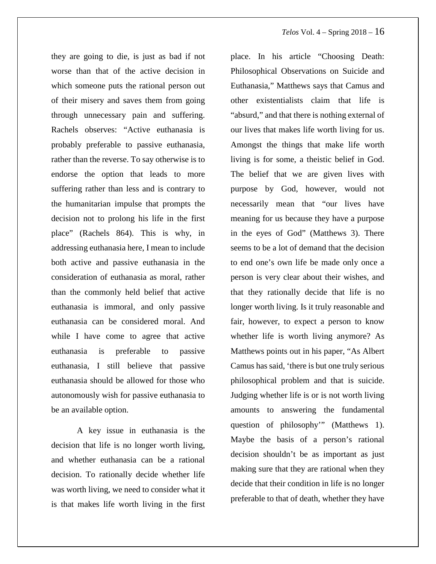they are going to die, is just as bad if not worse than that of the active decision in which someone puts the rational person out of their misery and saves them from going through unnecessary pain and suffering. Rachels observes: "Active euthanasia is probably preferable to passive euthanasia, rather than the reverse. To say otherwise is to endorse the option that leads to more suffering rather than less and is contrary to the humanitarian impulse that prompts the decision not to prolong his life in the first place" (Rachels 864). This is why, in addressing euthanasia here, I mean to include both active and passive euthanasia in the consideration of euthanasia as moral, rather than the commonly held belief that active euthanasia is immoral, and only passive euthanasia can be considered moral. And while I have come to agree that active euthanasia is preferable to passive euthanasia, I still believe that passive euthanasia should be allowed for those who autonomously wish for passive euthanasia to be an available option.

A key issue in euthanasia is the decision that life is no longer worth living, and whether euthanasia can be a rational decision. To rationally decide whether life was worth living, we need to consider what it is that makes life worth living in the first

place. In his article "Choosing Death: Philosophical Observations on Suicide and Euthanasia," Matthews says that Camus and other existentialists claim that life is "absurd," and that there is nothing external of our lives that makes life worth living for us. Amongst the things that make life worth living is for some, a theistic belief in God. The belief that we are given lives with purpose by God, however, would not necessarily mean that "our lives have meaning for us because they have a purpose in the eyes of God" (Matthews 3). There seems to be a lot of demand that the decision to end one's own life be made only once a person is very clear about their wishes, and that they rationally decide that life is no longer worth living. Is it truly reasonable and fair, however, to expect a person to know whether life is worth living anymore? As Matthews points out in his paper, "As Albert Camus has said, 'there is but one truly serious philosophical problem and that is suicide. Judging whether life is or is not worth living amounts to answering the fundamental question of philosophy'" (Matthews 1). Maybe the basis of a person's rational decision shouldn't be as important as just making sure that they are rational when they decide that their condition in life is no longer preferable to that of death, whether they have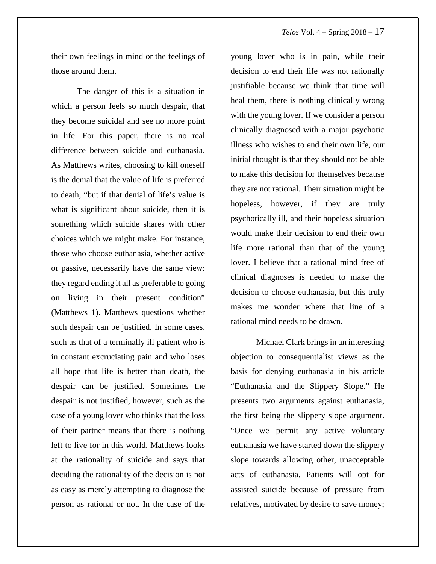#### *Telos* Vol. 4 – Spring 2018 – 17

their own feelings in mind or the feelings of those around them.

The danger of this is a situation in which a person feels so much despair, that they become suicidal and see no more point in life. For this paper, there is no real difference between suicide and euthanasia. As Matthews writes, choosing to kill oneself is the denial that the value of life is preferred to death, "but if that denial of life's value is what is significant about suicide, then it is something which suicide shares with other choices which we might make. For instance, those who choose euthanasia, whether active or passive, necessarily have the same view: they regard ending it all as preferable to going on living in their present condition" (Matthews 1). Matthews questions whether such despair can be justified. In some cases, such as that of a terminally ill patient who is in constant excruciating pain and who loses all hope that life is better than death, the despair can be justified. Sometimes the despair is not justified, however, such as the case of a young lover who thinks that the loss of their partner means that there is nothing left to live for in this world. Matthews looks at the rationality of suicide and says that deciding the rationality of the decision is not as easy as merely attempting to diagnose the person as rational or not. In the case of the

young lover who is in pain, while their decision to end their life was not rationally justifiable because we think that time will heal them, there is nothing clinically wrong with the young lover. If we consider a person clinically diagnosed with a major psychotic illness who wishes to end their own life, our initial thought is that they should not be able to make this decision for themselves because they are not rational. Their situation might be hopeless, however, if they are truly psychotically ill, and their hopeless situation would make their decision to end their own life more rational than that of the young lover. I believe that a rational mind free of clinical diagnoses is needed to make the decision to choose euthanasia, but this truly makes me wonder where that line of a rational mind needs to be drawn.

Michael Clark brings in an interesting objection to consequentialist views as the basis for denying euthanasia in his article "Euthanasia and the Slippery Slope." He presents two arguments against euthanasia, the first being the slippery slope argument. "Once we permit any active voluntary euthanasia we have started down the slippery slope towards allowing other, unacceptable acts of euthanasia. Patients will opt for assisted suicide because of pressure from relatives, motivated by desire to save money;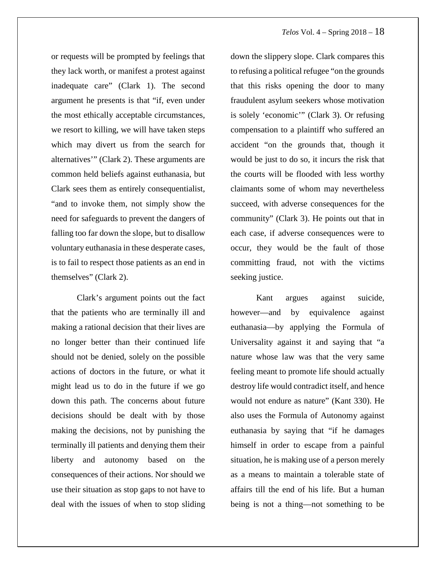or requests will be prompted by feelings that they lack worth, or manifest a protest against inadequate care" (Clark 1). The second argument he presents is that "if, even under the most ethically acceptable circumstances, we resort to killing, we will have taken steps which may divert us from the search for alternatives'" (Clark 2). These arguments are common held beliefs against euthanasia, but Clark sees them as entirely consequentialist, "and to invoke them, not simply show the need for safeguards to prevent the dangers of falling too far down the slope, but to disallow voluntary euthanasia in these desperate cases, is to fail to respect those patients as an end in themselves" (Clark 2).

Clark's argument points out the fact that the patients who are terminally ill and making a rational decision that their lives are no longer better than their continued life should not be denied, solely on the possible actions of doctors in the future, or what it might lead us to do in the future if we go down this path. The concerns about future decisions should be dealt with by those making the decisions, not by punishing the terminally ill patients and denying them their liberty and autonomy based on the consequences of their actions. Nor should we use their situation as stop gaps to not have to deal with the issues of when to stop sliding down the slippery slope. Clark compares this to refusing a political refugee "on the grounds that this risks opening the door to many fraudulent asylum seekers whose motivation is solely 'economic'" (Clark 3). Or refusing compensation to a plaintiff who suffered an accident "on the grounds that, though it would be just to do so, it incurs the risk that the courts will be flooded with less worthy claimants some of whom may nevertheless succeed, with adverse consequences for the community" (Clark 3). He points out that in each case, if adverse consequences were to occur, they would be the fault of those committing fraud, not with the victims seeking justice.

Kant argues against suicide, however—and by equivalence against euthanasia—by applying the Formula of Universality against it and saying that "a nature whose law was that the very same feeling meant to promote life should actually destroy life would contradict itself, and hence would not endure as nature" (Kant 330). He also uses the Formula of Autonomy against euthanasia by saying that "if he damages himself in order to escape from a painful situation, he is making use of a person merely as a means to maintain a tolerable state of affairs till the end of his life. But a human being is not a thing—not something to be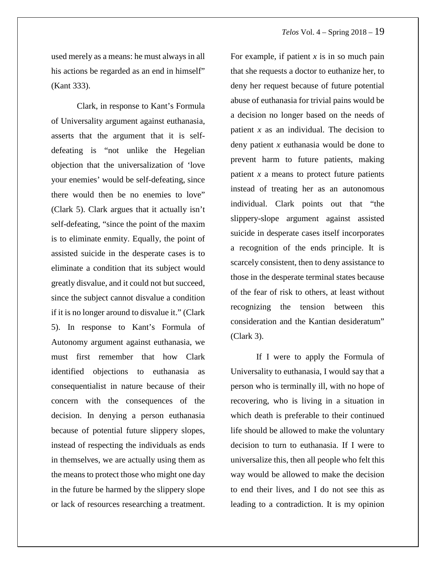used merely as a means: he must always in all his actions be regarded as an end in himself" (Kant 333).

Clark, in response to Kant's Formula of Universality argument against euthanasia, asserts that the argument that it is selfdefeating is "not unlike the Hegelian objection that the universalization of 'love your enemies' would be self-defeating, since there would then be no enemies to love" (Clark 5). Clark argues that it actually isn't self-defeating, "since the point of the maxim is to eliminate enmity. Equally, the point of assisted suicide in the desperate cases is to eliminate a condition that its subject would greatly disvalue, and it could not but succeed, since the subject cannot disvalue a condition if it is no longer around to disvalue it." (Clark 5). In response to Kant's Formula of Autonomy argument against euthanasia, we must first remember that how Clark identified objections to euthanasia as consequentialist in nature because of their concern with the consequences of the decision. In denying a person euthanasia because of potential future slippery slopes, instead of respecting the individuals as ends in themselves, we are actually using them as the means to protect those who might one day in the future be harmed by the slippery slope or lack of resources researching a treatment.

For example, if patient *x* is in so much pain that she requests a doctor to euthanize her, to deny her request because of future potential abuse of euthanasia for trivial pains would be a decision no longer based on the needs of patient *x* as an individual. The decision to deny patient *x* euthanasia would be done to prevent harm to future patients, making patient *x* a means to protect future patients instead of treating her as an autonomous individual. Clark points out that "the slippery-slope argument against assisted suicide in desperate cases itself incorporates a recognition of the ends principle. It is scarcely consistent, then to deny assistance to those in the desperate terminal states because of the fear of risk to others, at least without recognizing the tension between this consideration and the Kantian desideratum" (Clark 3).

If I were to apply the Formula of Universality to euthanasia, I would say that a person who is terminally ill, with no hope of recovering, who is living in a situation in which death is preferable to their continued life should be allowed to make the voluntary decision to turn to euthanasia. If I were to universalize this, then all people who felt this way would be allowed to make the decision to end their lives, and I do not see this as leading to a contradiction. It is my opinion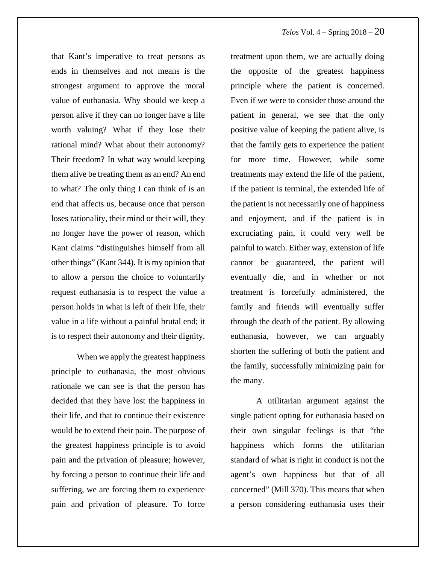that Kant's imperative to treat persons as ends in themselves and not means is the strongest argument to approve the moral value of euthanasia. Why should we keep a person alive if they can no longer have a life worth valuing? What if they lose their rational mind? What about their autonomy? Their freedom? In what way would keeping them alive be treating them as an end? An end to what? The only thing I can think of is an end that affects us, because once that person loses rationality, their mind or their will, they no longer have the power of reason, which Kant claims "distinguishes himself from all other things" (Kant 344). It is my opinion that to allow a person the choice to voluntarily request euthanasia is to respect the value a person holds in what is left of their life, their value in a life without a painful brutal end; it is to respect their autonomy and their dignity.

When we apply the greatest happiness principle to euthanasia, the most obvious rationale we can see is that the person has decided that they have lost the happiness in their life, and that to continue their existence would be to extend their pain. The purpose of the greatest happiness principle is to avoid pain and the privation of pleasure; however, by forcing a person to continue their life and suffering, we are forcing them to experience pain and privation of pleasure. To force treatment upon them, we are actually doing the opposite of the greatest happiness principle where the patient is concerned. Even if we were to consider those around the patient in general, we see that the only positive value of keeping the patient alive, is that the family gets to experience the patient for more time. However, while some treatments may extend the life of the patient, if the patient is terminal, the extended life of the patient is not necessarily one of happiness and enjoyment, and if the patient is in excruciating pain, it could very well be painful to watch. Either way, extension of life cannot be guaranteed, the patient will eventually die, and in whether or not treatment is forcefully administered, the family and friends will eventually suffer through the death of the patient. By allowing euthanasia, however, we can arguably shorten the suffering of both the patient and the family, successfully minimizing pain for the many.

A utilitarian argument against the single patient opting for euthanasia based on their own singular feelings is that "the happiness which forms the utilitarian standard of what is right in conduct is not the agent's own happiness but that of all concerned" (Mill 370). This means that when a person considering euthanasia uses their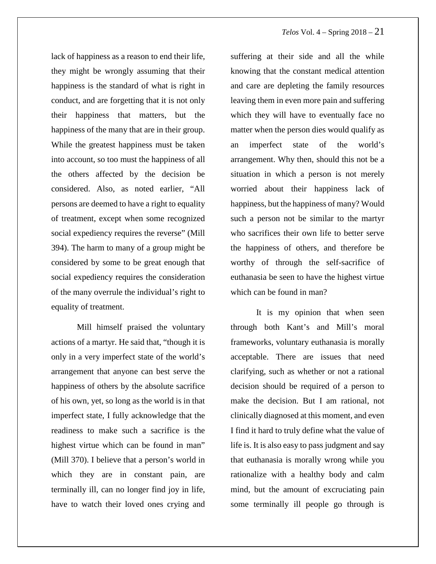lack of happiness as a reason to end their life, they might be wrongly assuming that their happiness is the standard of what is right in conduct, and are forgetting that it is not only their happiness that matters, but the happiness of the many that are in their group. While the greatest happiness must be taken into account, so too must the happiness of all the others affected by the decision be considered. Also, as noted earlier, "All persons are deemed to have a right to equality of treatment, except when some recognized social expediency requires the reverse" (Mill 394). The harm to many of a group might be considered by some to be great enough that social expediency requires the consideration of the many overrule the individual's right to equality of treatment.

Mill himself praised the voluntary actions of a martyr. He said that, "though it is only in a very imperfect state of the world's arrangement that anyone can best serve the happiness of others by the absolute sacrifice of his own, yet, so long as the world is in that imperfect state, I fully acknowledge that the readiness to make such a sacrifice is the highest virtue which can be found in man" (Mill 370). I believe that a person's world in which they are in constant pain, are terminally ill, can no longer find joy in life, have to watch their loved ones crying and

suffering at their side and all the while knowing that the constant medical attention and care are depleting the family resources leaving them in even more pain and suffering which they will have to eventually face no matter when the person dies would qualify as an imperfect state of the world's arrangement. Why then, should this not be a situation in which a person is not merely worried about their happiness lack of happiness, but the happiness of many? Would such a person not be similar to the martyr who sacrifices their own life to better serve the happiness of others, and therefore be worthy of through the self-sacrifice of euthanasia be seen to have the highest virtue which can be found in man?

It is my opinion that when seen through both Kant's and Mill's moral frameworks, voluntary euthanasia is morally acceptable. There are issues that need clarifying, such as whether or not a rational decision should be required of a person to make the decision. But I am rational, not clinically diagnosed at this moment, and even I find it hard to truly define what the value of life is. It is also easy to pass judgment and say that euthanasia is morally wrong while you rationalize with a healthy body and calm mind, but the amount of excruciating pain some terminally ill people go through is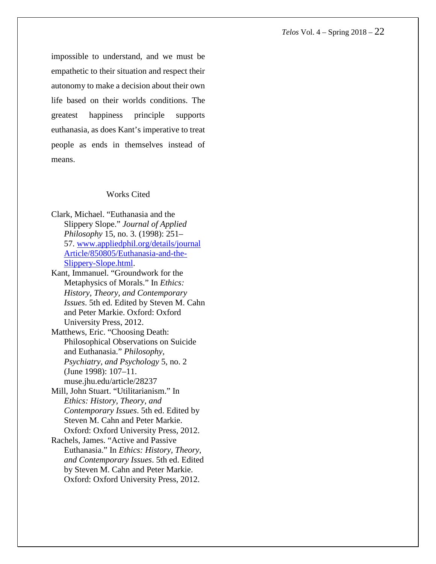impossible to understand, and we must be empathetic to their situation and respect their autonomy to make a decision about their own life based on their worlds conditions. The greatest happiness principle supports euthanasia, as does Kant's imperative to treat people as ends in themselves instead of means.

#### Works Cited

- Clark, Michael. "Euthanasia and the Slippery Slope." *Journal of Applied Philosophy* 15, no. 3. (1998): 251– 57. [www.appliedphil.org/details/journal](http://www.appliedphil.org/details/journalArticle/850805/Euthanasia-and-the-Slippery-Slope.html) [Article/850805/Euthanasia-and-the-](http://www.appliedphil.org/details/journalArticle/850805/Euthanasia-and-the-Slippery-Slope.html)[Slippery-Slope.html.](http://www.appliedphil.org/details/journalArticle/850805/Euthanasia-and-the-Slippery-Slope.html)
- Kant, Immanuel. "Groundwork for the Metaphysics of Morals." In *Ethics: History, Theory, and Contemporary Issues*. 5th ed. Edited by Steven M. Cahn and Peter Markie. Oxford: Oxford University Press, 2012.
- Matthews, Eric. "Choosing Death: Philosophical Observations on Suicide and Euthanasia." *Philosophy, Psychiatry, and Psychology* 5, no. 2 (June 1998): 107–11. muse.jhu.edu/article/28237
- Mill, John Stuart. "Utilitarianism." In *Ethics: History, Theory, and Contemporary Issues*. 5th ed. Edited by Steven M. Cahn and Peter Markie. Oxford: Oxford University Press, 2012.
- Rachels, James. "Active and Passive Euthanasia." In *Ethics: History, Theory, and Contemporary Issues*. 5th ed. Edited by Steven M. Cahn and Peter Markie. Oxford: Oxford University Press, 2012.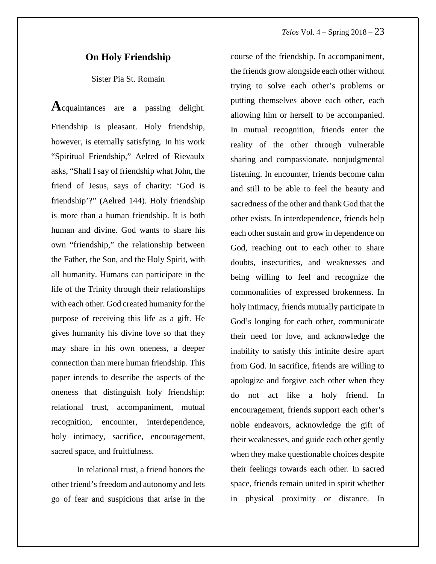#### **On Holy Friendship**

Sister Pia St. Romain

**A**cquaintances are <sup>a</sup> passing delight. Friendship is pleasant. Holy friendship, however, is eternally satisfying. In his work "Spiritual Friendship," Aelred of Rievaulx asks, "Shall Isay of friendship what John, the friend of Jesus, says of charity: 'God is friendship'?" (Aelred 144). Holy friendship is more than a human friendship. It is both human and divine. God wants to share his own "friendship," the relationship between the Father, the Son, and the Holy Spirit, with all humanity. Humans can participate in the life of the Trinity through their relationships with each other. God created humanity for the purpose of receiving this life as a gift. He gives humanity his divine love so that they may share in his own oneness, a deeper connection than mere human friendship. This paper intends to describe the aspects of the oneness that distinguish holy friendship: relational trust, accompaniment, mutual recognition, encounter, interdependence, holy intimacy, sacrifice, encouragement, sacred space, and fruitfulness.

In relational trust, a friend honors the other friend's freedom and autonomy and lets go of fear and suspicions that arise in the course of the friendship. In accompaniment, the friends grow alongside each other without trying to solve each other's problems or putting themselves above each other, each allowing him or herself to be accompanied. In mutual recognition, friends enter the reality of the other through vulnerable sharing and compassionate, nonjudgmental listening. In encounter, friends become calm and still to be able to feel the beauty and sacredness of the other and thank God that the other exists. In interdependence, friends help each other sustain and grow in dependence on God, reaching out to each other to share doubts, insecurities, and weaknesses and being willing to feel and recognize the commonalities of expressed brokenness. In holy intimacy, friends mutually participate in God's longing for each other, communicate their need for love, and acknowledge the inability to satisfy this infinite desire apart from God. In sacrifice, friends are willing to apologize and forgive each other when they do not act like a holy friend. In encouragement, friends support each other's noble endeavors, acknowledge the gift of their weaknesses, and guide each other gently when they make questionable choices despite their feelings towards each other. In sacred space, friends remain united in spirit whether in physical proximity or distance. In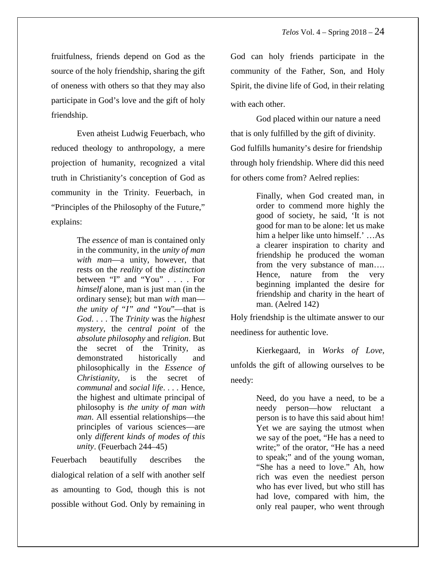fruitfulness, friends depend on God as the source of the holy friendship, sharing the gift of oneness with others so that they may also participate in God's love and the gift of holy friendship.

Even atheist Ludwig Feuerbach, who reduced theology to anthropology, a mere projection of humanity, recognized a vital truth in Christianity's conception of God as community in the Trinity. Feuerbach, in "Principles of the Philosophy of the Future," explains:

> The *essence* of man is contained only in the community, in the *unity of man with man*—a unity, however, that rests on the *reality* of the *distinction* between "I" and "You" . . . . For *himself* alone, man is just man (in the ordinary sense); but man *with* man *the unity of "I" and "You*"—that is *God*. . . . The *Trinity* was the *highest mystery*, the *central point* of the *absolute philosophy* and *religion*. But the secret of the Trinity, as demonstrated historically and philosophically in the *Essence of Christianity*, is the secret of *communal* and *social life*. . . . Hence, the highest and ultimate principal of philosophy is *the unity of man with man*. All essential relationships—the principles of various sciences—are only *different kinds of modes of this unity*. (Feuerbach 244–45)

Feuerbach beautifully describes the dialogical relation of a self with another self as amounting to God, though this is not possible without God. Only by remaining in God can holy friends participate in the community of the Father, Son, and Holy Spirit, the divine life of God, in their relating with each other.

God placed within our nature a need that is only fulfilled by the gift of divinity. God fulfills humanity's desire for friendship through holy friendship. Where did this need for others come from? Aelred replies:

> Finally, when God created man, in order to commend more highly the good of society, he said, 'It is not good for man to be alone: let us make him a helper like unto himself.' …As a clearer inspiration to charity and friendship he produced the woman from the very substance of man…. Hence, nature from the very beginning implanted the desire for friendship and charity in the heart of man. (Aelred 142)

Holy friendship is the ultimate answer to our neediness for authentic love.

Kierkegaard, in *Works of Love,* unfolds the gift of allowing ourselves to be needy:

> Need, do you have a need, to be a needy person—how reluctant a person is to have this said about him! Yet we are saying the utmost when we say of the poet, "He has a need to write;" of the orator, "He has a need to speak;" and of the young woman, "She has a need to love." Ah, how rich was even the neediest person who has ever lived, but who still has had love, compared with him, the only real pauper, who went through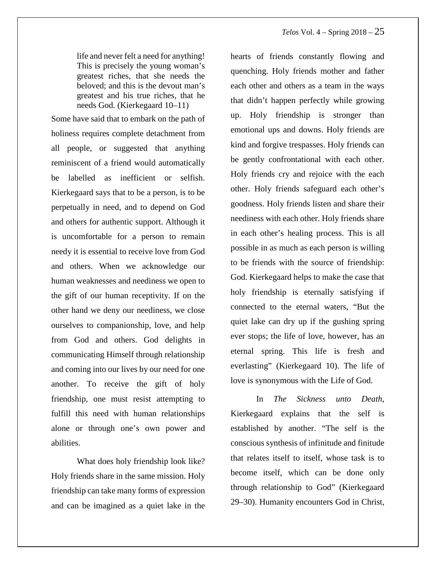life and never felt a need for anything! This is precisely the young woman's greatest riches, that she needs the beloved; and this is the devout man's greatest and his true riches, that he needs God. (Kierkegaard 10–11)

Some have said that to embark on the path of holiness requires complete detachment from all people, or suggested that anything reminiscent of a friend would automatically be labelled as inefficient or selfish. Kierkegaard says that to be a person, is to be perpetually in need, and to depend on God and others for authentic support. Although it is uncomfortable for a person to remain needy it is essential to receive love from God and others. When we acknowledge our human weaknesses and neediness we open to the gift of our human receptivity. If on the other hand we deny our neediness, we close ourselves to companionship, love, and help from God and others. God delights in communicating Himself through relationship and coming into our lives by our need for one another. To receive the gift of holy friendship, one must resist attempting to fulfill this need with human relationships alone or through one's own power and abilities.

What does holy friendship look like? Holy friends share in the same mission. Holy friendship can take many forms of expression and can be imagined as a quiet lake in the hearts of friends constantly flowing and quenching. Holy friends mother and father each other and others as a team in the ways that didn't happen perfectly while growing up. Holy friendship is stronger than emotional ups and downs. Holy friends are kind and forgive trespasses. Holy friends can be gently confrontational with each other. Holy friends cry and rejoice with the each other. Holy friends safeguard each other's goodness. Holy friends listen and share their neediness with each other. Holy friends share in each other's healing process. This is all possible in as much as each person is willing to be friends with the source of friendship: God. Kierkegaard helps to make the case that holy friendship is eternally satisfying if connected to the eternal waters, "But the quiet lake can dry up if the gushing spring ever stops; the life of love, however, has an eternal spring. This life is fresh and everlasting" (Kierkegaard 10). The life of love is synonymous with the Life of God.

In *The Sickness unto Death,* Kierkegaard explains that the self is established by another. "The self is the conscious synthesis of infinitude and finitude that relates itself to itself, whose task is to become itself, which can be done only through relationship to God" (Kierkegaard 29–30). Humanity encounters God in Christ,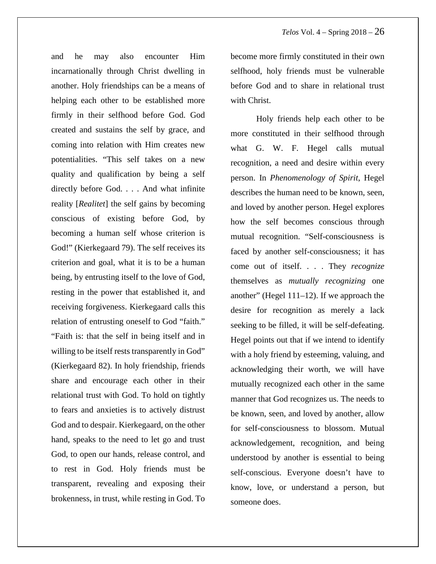and he may also encounter Him incarnationally through Christ dwelling in another. Holy friendships can be a means of helping each other to be established more firmly in their selfhood before God. God created and sustains the self by grace, and coming into relation with Him creates new potentialities. "This self takes on a new quality and qualification by being a self directly before God. . . . And what infinite reality [*Realitet*] the self gains by becoming conscious of existing before God, by becoming a human self whose criterion is God!" (Kierkegaard 79). The self receives its criterion and goal, what it is to be a human being, by entrusting itself to the love of God, resting in the power that established it, and receiving forgiveness. Kierkegaard calls this relation of entrusting oneself to God "faith." "Faith is: that the self in being itself and in willing to be itself rests transparently in God" (Kierkegaard 82). In holy friendship, friends share and encourage each other in their relational trust with God. To hold on tightly to fears and anxieties is to actively distrust God and to despair. Kierkegaard, on the other hand, speaks to the need to let go and trust God, to open our hands, release control, and to rest in God. Holy friends must be transparent, revealing and exposing their brokenness, in trust, while resting in God. To become more firmly constituted in their own selfhood, holy friends must be vulnerable before God and to share in relational trust with Christ.

Holy friends help each other to be more constituted in their selfhood through what G. W. F. Hegel calls mutual recognition, a need and desire within every person. In *Phenomenology of Spirit*, Hegel describes the human need to be known, seen, and loved by another person. Hegel explores how the self becomes conscious through mutual recognition. "Self-consciousness is faced by another self-consciousness; it has come out of itself. . . . They *recognize* themselves as *mutually recognizing* one another" (Hegel 111–12). If we approach the desire for recognition as merely a lack seeking to be filled, it will be self-defeating. Hegel points out that if we intend to identify with a holy friend by esteeming, valuing, and acknowledging their worth, we will have mutually recognized each other in the same manner that God recognizes us. The needs to be known, seen, and loved by another, allow for self-consciousness to blossom. Mutual acknowledgement, recognition, and being understood by another is essential to being self-conscious. Everyone doesn't have to know, love, or understand a person, but someone does.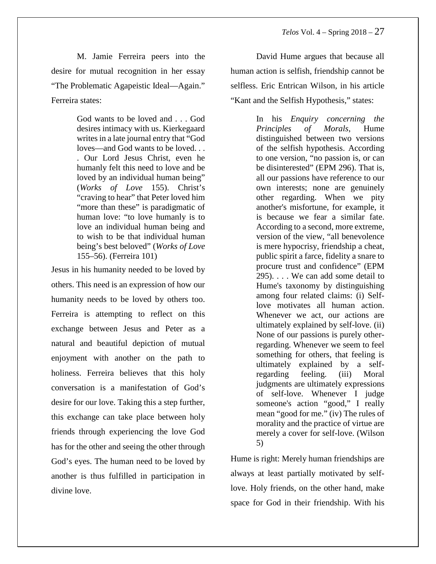M. Jamie Ferreira peers into the desire for mutual recognition in her essay "The Problematic Agapeistic Ideal—Again." Ferreira states:

> God wants to be loved and . . . God desires intimacy with us. Kierkegaard writes in a late journal entry that "God" loves—and God wants to be loved. . . . Our Lord Jesus Christ, even he humanly felt this need to love and be loved by an individual human being" (*Works of Love* 155). Christ's "craving to hear" that Peter loved him "more than these" is paradigmatic of human love: "to love humanly is to love an individual human being and to wish to be that individual human being's best beloved" (*Works of Love* 155–56). (Ferreira 101)

Jesus in his humanity needed to be loved by others. This need is an expression of how our humanity needs to be loved by others too. Ferreira is attempting to reflect on this exchange between Jesus and Peter as a natural and beautiful depiction of mutual enjoyment with another on the path to holiness. Ferreira believes that this holy conversation is a manifestation of God's desire for our love. Taking this a step further, this exchange can take place between holy friends through experiencing the love God has for the other and seeing the other through God's eyes. The human need to be loved by another is thus fulfilled in participation in divine love.

David Hume argues that because all human action is selfish, friendship cannot be selfless. Eric Entrican Wilson, in his article "Kant and the Selfish Hypothesis," states:

> In his *Enquiry concerning the Principles of Morals*, Hume distinguished between two versions of the selfish hypothesis. According to one version, "no passion is, or can be disinterested" (EPM 296). That is, all our passions have reference to our own interests; none are genuinely other regarding. When we pity another's misfortune, for example, it is because we fear a similar fate. According to a second, more extreme, version of the view, "all benevolence is mere hypocrisy, friendship a cheat, public spirit a farce, fidelity a snare to procure trust and confidence" (EPM 295). . . . We can add some detail to Hume's taxonomy by distinguishing among four related claims: (i) Selflove motivates all human action. Whenever we act, our actions are ultimately explained by self-love. (ii) None of our passions is purely otherregarding. Whenever we seem to feel something for others, that feeling is ultimately explained by a selfregarding feeling. (iii) Moral judgments are ultimately expressions of self-love. Whenever I judge someone's action "good," I really mean "good for me." (iv) The rules of morality and the practice of virtue are merely a cover for self-love. (Wilson 5)

Hume is right: Merely human friendships are always at least partially motivated by selflove. Holy friends, on the other hand, make space for God in their friendship. With his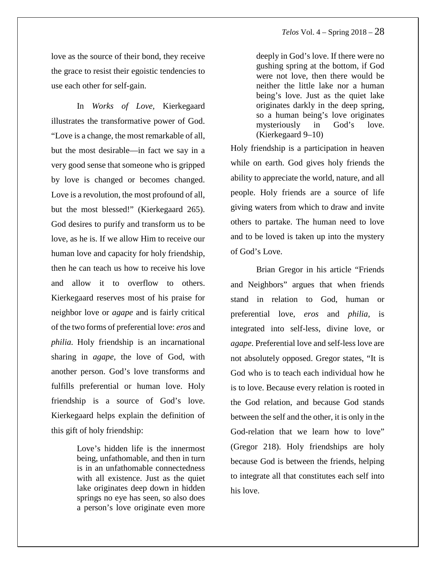love as the source of their bond, they receive the grace to resist their egoistic tendencies to use each other for self-gain.

In *Works of Love,* Kierkegaard illustrates the transformative power of God. "Love is a change, the most remarkable of all, but the most desirable—in fact we say in a very good sense that someone who is gripped by love is changed or becomes changed. Love is a revolution, the most profound of all, but the most blessed!" (Kierkegaard 265). God desires to purify and transform us to be love, as he is. If we allow Him to receive our human love and capacity for holy friendship, then he can teach us how to receive his love and allow it to overflow to others. Kierkegaard reserves most of his praise for neighbor love or *agape* and is fairly critical of the two forms of preferential love: *eros* and *philia.* Holy friendship is an incarnational sharing in *agape,* the love of God, with another person. God's love transforms and fulfills preferential or human love. Holy friendship is a source of God's love. Kierkegaard helps explain the definition of this gift of holy friendship:

> Love's hidden life is the innermost being, unfathomable, and then in turn is in an unfathomable connectedness with all existence. Just as the quiet lake originates deep down in hidden springs no eye has seen, so also does a person's love originate even more

deeply in God's love. If there were no gushing spring at the bottom, if God were not love, then there would be neither the little lake nor a human being's love. Just as the quiet lake originates darkly in the deep spring, so a human being's love originates mysteriously in God's love. (Kierkegaard 9–10)

Holy friendship is a participation in heaven while on earth. God gives holy friends the ability to appreciate the world, nature, and all people. Holy friends are a source of life giving waters from which to draw and invite others to partake. The human need to love and to be loved is taken up into the mystery of God's Love.

Brian Gregor in his article "Friends and Neighbors" argues that when friends stand in relation to God, human or preferential love, *eros* and *philia,* is integrated into self-less, divine love, or *agape*. Preferential love and self-less love are not absolutely opposed. Gregor states, "It is God who is to teach each individual how he is to love. Because every relation is rooted in the God relation, and because God stands between the self and the other, it is only in the God-relation that we learn how to love" (Gregor 218). Holy friendships are holy because God is between the friends, helping to integrate all that constitutes each self into his love.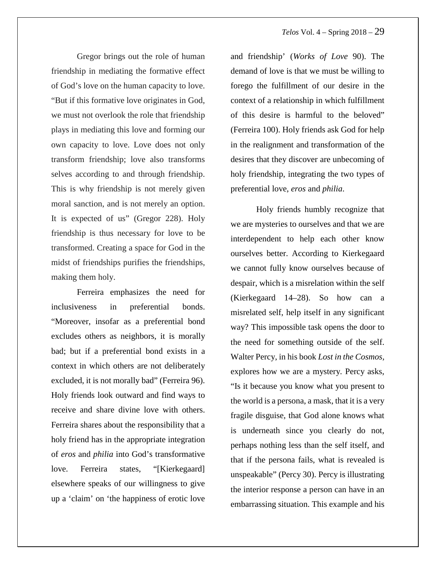Gregor brings out the role of human friendship in mediating the formative effect of God's love on the human capacity to love. "But if this formative love originates in God, we must not overlook the role that friendship plays in mediating this love and forming our own capacity to love. Love does not only transform friendship; love also transforms selves according to and through friendship. This is why friendship is not merely given moral sanction, and is not merely an option. It is expected of us" (Gregor 228). Holy friendship is thus necessary for love to be transformed. Creating a space for God in the midst of friendships purifies the friendships, making them holy.

Ferreira emphasizes the need for inclusiveness in preferential bonds. "Moreover, insofar as a preferential bond excludes others as neighbors, it is morally bad; but if a preferential bond exists in a context in which others are not deliberately excluded, it is not morally bad" (Ferreira 96). Holy friends look outward and find ways to receive and share divine love with others. Ferreira shares about the responsibility that a holy friend has in the appropriate integration of *eros* and *philia* into God's transformative love. Ferreira states, "[Kierkegaard] elsewhere speaks of our willingness to give up a 'claim' on 'the happiness of erotic love and friendship' (*Works of Love* 90). The demand of love is that we must be willing to forego the fulfillment of our desire in the context of a relationship in which fulfillment of this desire is harmful to the beloved" (Ferreira 100). Holy friends ask God for help in the realignment and transformation of the desires that they discover are unbecoming of holy friendship, integrating the two types of preferential love, *eros* and *philia*.

Holy friends humbly recognize that we are mysteries to ourselves and that we are interdependent to help each other know ourselves better. According to Kierkegaard we cannot fully know ourselves because of despair, which is a misrelation within the self (Kierkegaard 14–28). So how can a misrelated self, help itself in any significant way? This impossible task opens the door to the need for something outside of the self. Walter Percy, in his book *Lost in the Cosmos,* explores how we are a mystery*.* Percy asks, "Is it because you know what you present to the world is a persona, a mask, that it is a very fragile disguise, that God alone knows what is underneath since you clearly do not, perhaps nothing less than the self itself, and that if the persona fails, what is revealed is unspeakable" (Percy 30). Percy is illustrating the interior response a person can have in an embarrassing situation. This example and his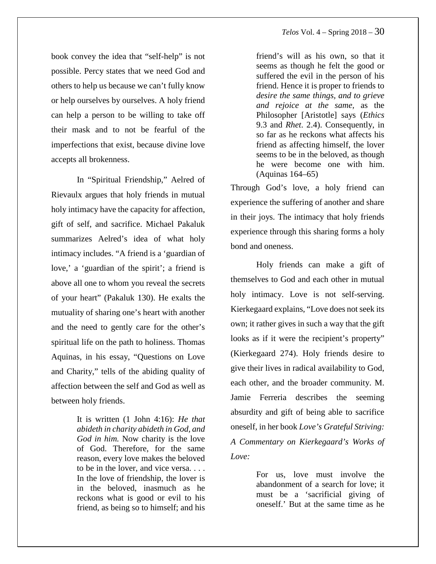book convey the idea that "self-help" is not possible. Percy states that we need God and others to help us because we can't fully know or help ourselves by ourselves. A holy friend can help a person to be willing to take off their mask and to not be fearful of the imperfections that exist, because divine love accepts all brokenness.

In "Spiritual Friendship," Aelred of Rievaulx argues that holy friends in mutual holy intimacy have the capacity for affection, gift of self, and sacrifice. Michael Pakaluk summarizes Aelred's idea of what holy intimacy includes. "A friend is a 'guardian of love,' a 'guardian of the spirit'; a friend is above all one to whom you reveal the secrets of your heart" (Pakaluk 130). He exalts the mutuality of sharing one's heart with another and the need to gently care for the other's spiritual life on the path to holiness. Thomas Aquinas, in his essay, "Questions on Love and Charity," tells of the abiding quality of affection between the self and God as well as between holy friends.

> It is written (1 John 4:16): *He that abideth in charity abideth in God, and God in him.* Now charity is the love of God. Therefore, for the same reason, every love makes the beloved to be in the lover, and vice versa. . . . In the love of friendship, the lover is in the beloved, inasmuch as he reckons what is good or evil to his friend, as being so to himself; and his

friend's will as his own, so that it seems as though he felt the good or suffered the evil in the person of his friend. Hence it is proper to friends to *desire the same things, and to grieve and rejoice at the same,* as the Philosopher [Aristotle] says (*Ethics* 9.3 and *Rhet*. 2.4). Consequently, in so far as he reckons what affects his friend as affecting himself, the lover seems to be in the beloved, as though he were become one with him. (Aquinas 164–65)

Through God's love, a holy friend can experience the suffering of another and share in their joys. The intimacy that holy friends experience through this sharing forms a holy bond and oneness.

Holy friends can make a gift of themselves to God and each other in mutual holy intimacy. Love is not self-serving. Kierkegaard explains, "Love does not seek its own; it rather gives in such a way that the gift looks as if it were the recipient's property" (Kierkegaard 274). Holy friends desire to give their lives in radical availability to God, each other, and the broader community. M. Jamie Ferreria describes the seeming absurdity and gift of being able to sacrifice oneself, in her book *Love's Grateful Striving: A Commentary on Kierkegaard's Works of Love:*

> For us, love must involve the abandonment of a search for love; it must be a 'sacrificial giving of oneself.' But at the same time as he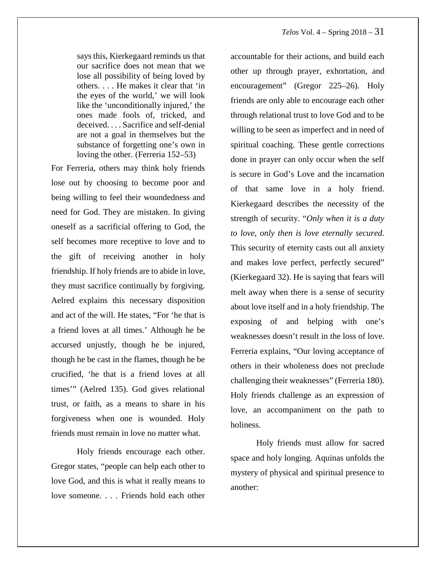says this, Kierkegaard reminds us that our sacrifice does not mean that we lose all possibility of being loved by others. . . . He makes it clear that 'in the eyes of the world,' we will look like the 'unconditionally injured,' the ones made fools of, tricked, and deceived. . . . Sacrifice and self-denial are not a goal in themselves but the substance of forgetting one's own in loving the other. (Ferreria 152–53)

For Ferreria, others may think holy friends lose out by choosing to become poor and being willing to feel their woundedness and need for God. They are mistaken. In giving oneself as a sacrificial offering to God, the self becomes more receptive to love and to the gift of receiving another in holy friendship. If holy friends are to abide in love, they must sacrifice continually by forgiving. Aelred explains this necessary disposition and act of the will. He states, "For 'he that is a friend loves at all times.' Although he be accursed unjustly, though he be injured, though he be cast in the flames, though he be crucified, 'he that is a friend loves at all times'" (Aelred 135). God gives relational trust, or faith, as a means to share in his forgiveness when one is wounded. Holy friends must remain in love no matter what.

Holy friends encourage each other. Gregor states, "people can help each other to love God, and this is what it really means to love someone. . . . Friends hold each other

accountable for their actions, and build each other up through prayer, exhortation, and encouragement" (Gregor 225–26). Holy friends are only able to encourage each other through relational trust to love God and to be willing to be seen as imperfect and in need of spiritual coaching. These gentle corrections done in prayer can only occur when the self is secure in God's Love and the incarnation of that same love in a holy friend. Kierkegaard describes the necessity of the strength of security. "*Only when it is a duty to love, only then is love eternally secured.* This security of eternity casts out all anxiety and makes love perfect, perfectly secured" (Kierkegaard 32). He is saying that fears will melt away when there is a sense of security about love itself and in a holy friendship. The exposing of and helping with one's weaknesses doesn't result in the loss of love. Ferreria explains, "Our loving acceptance of others in their wholeness does not preclude challenging their weaknesses" (Ferreria 180). Holy friends challenge as an expression of love, an accompaniment on the path to holiness.

Holy friends must allow for sacred space and holy longing. Aquinas unfolds the mystery of physical and spiritual presence to another: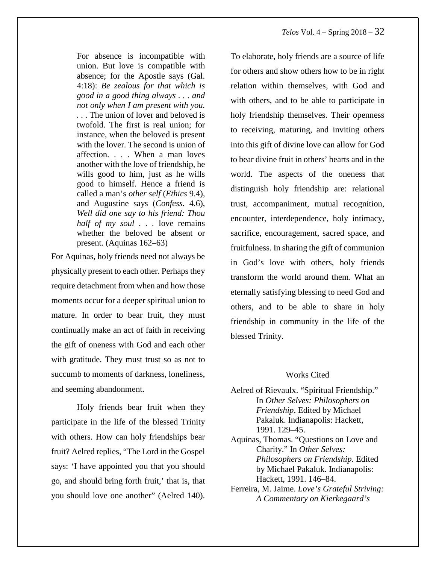For absence is incompatible with union. But love is compatible with absence; for the Apostle says (Gal. 4:18): *Be zealous for that which is good in a good thing always . . . and not only when I am present with you. . . .* The union of lover and beloved is twofold. The first is real union; for instance, when the beloved is present with the lover. The second is union of affection. . . . When a man loves another with the love of friendship, he wills good to him, just as he wills good to himself. Hence a friend is called a man's *other self* (*Ethics* 9.4)*,* and Augustine says (*Confess.* 4.6), *Well did one say to his friend: Thou half of my soul . . .* love remains whether the beloved be absent or present. (Aquinas 162–63)

For Aquinas, holy friends need not always be physically present to each other. Perhaps they require detachment from when and how those moments occur for a deeper spiritual union to mature. In order to bear fruit, they must continually make an act of faith in receiving the gift of oneness with God and each other with gratitude. They must trust so as not to succumb to moments of darkness, loneliness, and seeming abandonment.

Holy friends bear fruit when they participate in the life of the blessed Trinity with others. How can holy friendships bear fruit? Aelred replies, "The Lord in the Gospel says: 'I have appointed you that you should go, and should bring forth fruit,' that is, that you should love one another" (Aelred 140). To elaborate, holy friends are a source of life for others and show others how to be in right relation within themselves, with God and with others, and to be able to participate in holy friendship themselves. Their openness to receiving, maturing, and inviting others into this gift of divine love can allow for God to bear divine fruit in others' hearts and in the world. The aspects of the oneness that distinguish holy friendship are: relational trust, accompaniment, mutual recognition, encounter, interdependence, holy intimacy, sacrifice, encouragement, sacred space, and fruitfulness. In sharing the gift of communion in God's love with others, holy friends transform the world around them. What an eternally satisfying blessing to need God and others, and to be able to share in holy friendship in community in the life of the blessed Trinity.

#### Works Cited

- Aelred of Rievaulx. "Spiritual Friendship." In *Other Selves: Philosophers on Friendship*. Edited by Michael Pakaluk. Indianapolis: Hackett, 1991. 129–45.
- Aquinas, Thomas. "Questions on Love and Charity." In *Other Selves: Philosophers on Friendship*. Edited by Michael Pakaluk. Indianapolis: Hackett, 1991. 146–84.
- Ferreira, M. Jaime. *Love's Grateful Striving: A Commentary on Kierkegaard's*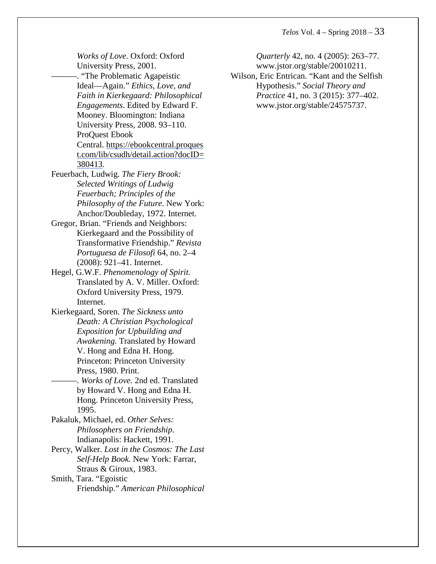*Works of Love*. Oxford: Oxford University Press, 2001. -. "The Problematic Agapeistic Ideal—Again." *Ethics, Love, and Faith in Kierkegaard: Philosophical Engagements*. Edited by Edward F. Mooney. Bloomington: Indiana University Press, 2008. 93–110. ProQuest Ebook Central. https://ebookcentral.proques t.com/lib/csudh/detail.action?docID= 380413. Feuerbach, Ludwig. *The Fiery Brook: Selected Writings of Ludwig Feuerbach; Principles of the Philosophy of the Future*. New York: Anchor/Doubleday, 1972. Internet. Gregor, Brian. "Friends and Neighbors: Kierkegaard and the Possibility of Transformative Friendship." *Revista Portuguesa de Filosofi* 64, no. 2–4 (2008): 921–41. Internet. Hegel, G.W.F. *Phenomenology of Spirit.* Translated by A. V. Miller. Oxford: Oxford University Press, 1979. Internet. Kierkegaard, Soren. *The Sickness unto Death: A Christian Psychological Exposition for Upbuilding and Awakening.* Translated by Howard V. Hong and Edna H. Hong. Princeton: Princeton University Press, 1980. Print. ———. *Works of Love.* 2nd ed. Translated by Howard V. Hong and Edna H. Hong. Princeton University Press, 1995. Pakaluk, Michael, ed. *Other Selves: Philosophers on Friendship*. Indianapolis: Hackett, 1991. Percy, Walker. *Lost in the Cosmos: The Last Self-Help Book.* New York: Farrar, Straus & Giroux, 1983. Smith, Tara. "Egoistic Friendship." *American Philosophical*

*Quarterly* 42, no. 4 (2005): 263–77. www.jstor.org/stable/20010211. Wilson, Eric Entrican. "Kant and the Selfish Hypothesis." *Social Theory and Practice* 41, no. 3 (2015): 377–402. www.jstor.org/stable/24575737.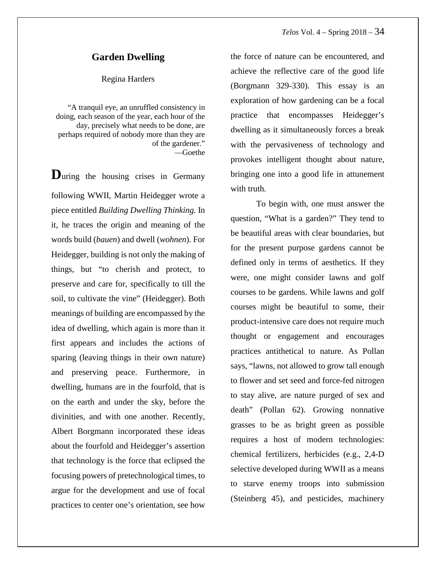#### **Garden Dwelling**

#### Regina Harders

"A tranquil eye, an unruffled consistency in doing, each season of the year, each hour of the day, precisely what needs to be done, are perhaps required of nobody more than they are of the gardener." —Goethe

**D**uring the housing crises in Germany following WWII, Martin Heidegger wrote a piece entitled *Building Dwelling Thinking.* In it, he traces the origin and meaning of the words build (*bauen*) and dwell (*wohnen*). For Heidegger, building is not only the making of things, but "to cherish and protect, to preserve and care for, specifically to till the soil, to cultivate the vine" (Heidegger). Both meanings of building are encompassed by the idea of dwelling, which again is more than it first appears and includes the actions of sparing (leaving things in their own nature) and preserving peace. Furthermore, in dwelling, humans are in the fourfold, that is on the earth and under the sky, before the divinities, and with one another. Recently, Albert Borgmann incorporated these ideas about the fourfold and Heidegger's assertion that technology is the force that eclipsed the focusing powers of pretechnological times, to argue for the development and use of focal practices to center one's orientation, see how

the force of nature can be encountered, and achieve the reflective care of the good life (Borgmann 329-330). This essay is an exploration of how gardening can be a focal practice that encompasses Heidegger's dwelling as it simultaneously forces a break with the pervasiveness of technology and provokes intelligent thought about nature, bringing one into a good life in attunement with truth.

To begin with, one must answer the question, "What is a garden?" They tend to be beautiful areas with clear boundaries, but for the present purpose gardens cannot be defined only in terms of aesthetics. If they were, one might consider lawns and golf courses to be gardens. While lawns and golf courses might be beautiful to some, their product-intensive care does not require much thought or engagement and encourages practices antithetical to nature. As Pollan says, "lawns, not allowed to grow tall enough to flower and set seed and force-fed nitrogen to stay alive, are nature purged of sex and death" (Pollan 62). Growing nonnative grasses to be as bright green as possible requires a host of modern technologies: chemical fertilizers, herbicides (e.g., 2,4-D selective developed during WWII as a means to starve enemy troops into submission (Steinberg 45), and pesticides, machinery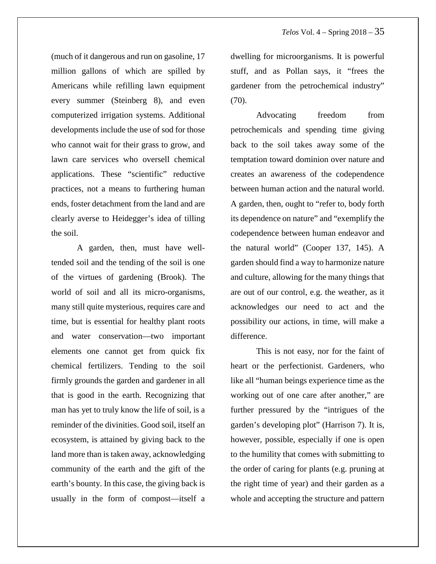(much of it dangerous and run on gasoline, 17 million gallons of which are spilled by Americans while refilling lawn equipment every summer (Steinberg 8), and even computerized irrigation systems. Additional developments include the use of sod for those who cannot wait for their grass to grow, and lawn care services who oversell chemical applications. These "scientific" reductive practices, not a means to furthering human ends, foster detachment from the land and are clearly averse to Heidegger's idea of tilling the soil.

A garden, then, must have welltended soil and the tending of the soil is one of the virtues of gardening (Brook). The world of soil and all its micro-organisms, many still quite mysterious, requires care and time, but is essential for healthy plant roots and water conservation—two important elements one cannot get from quick fix chemical fertilizers. Tending to the soil firmly grounds the garden and gardener in all that is good in the earth. Recognizing that man has yet to truly know the life of soil, is a reminder of the divinities. Good soil, itself an ecosystem, is attained by giving back to the land more than is taken away, acknowledging community of the earth and the gift of the earth's bounty. In this case, the giving back is usually in the form of compost—itself a dwelling for microorganisms. It is powerful stuff, and as Pollan says, it "frees the gardener from the petrochemical industry"  $(70)$ .

Advocating freedom from petrochemicals and spending time giving back to the soil takes away some of the temptation toward dominion over nature and creates an awareness of the codependence between human action and the natural world. A garden, then, ought to "refer to, body forth its dependence on nature" and "exemplify the codependence between human endeavor and the natural world" (Cooper 137, 145). A garden should find a way to harmonize nature and culture, allowing for the many things that are out of our control, e.g. the weather, as it acknowledges our need to act and the possibility our actions, in time, will make a difference.

This is not easy, nor for the faint of heart or the perfectionist. Gardeners, who like all "human beings experience time as the working out of one care after another," are further pressured by the "intrigues of the garden's developing plot" (Harrison 7). It is, however, possible, especially if one is open to the humility that comes with submitting to the order of caring for plants (e.g. pruning at the right time of year) and their garden as a whole and accepting the structure and pattern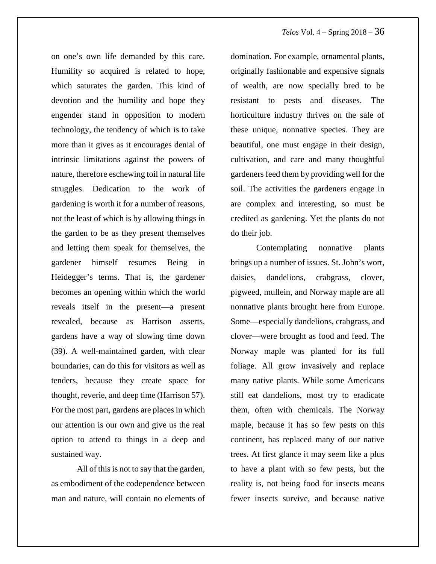on one's own life demanded by this care. Humility so acquired is related to hope, which saturates the garden. This kind of devotion and the humility and hope they engender stand in opposition to modern technology, the tendency of which is to take more than it gives as it encourages denial of intrinsic limitations against the powers of nature, therefore eschewing toil in natural life struggles. Dedication to the work of gardening is worth it for a number of reasons, not the least of which is by allowing things in the garden to be as they present themselves and letting them speak for themselves, the gardener himself resumes Being in Heidegger's terms. That is, the gardener becomes an opening within which the world reveals itself in the present—a present revealed, because as Harrison asserts, gardens have a way of slowing time down (39). A well-maintained garden, with clear boundaries, can do this for visitors as well as tenders, because they create space for thought, reverie, and deep time (Harrison 57). For the most part, gardens are places in which our attention is our own and give us the real option to attend to things in a deep and sustained way.

All of this is not to say that the garden, as embodiment of the codependence between man and nature, will contain no elements of domination. For example, ornamental plants, originally fashionable and expensive signals of wealth, are now specially bred to be resistant to pests and diseases. The horticulture industry thrives on the sale of these unique, nonnative species. They are beautiful, one must engage in their design, cultivation, and care and many thoughtful gardeners feed them by providing well for the soil. The activities the gardeners engage in are complex and interesting, so must be credited as gardening. Yet the plants do not do their job.

Contemplating nonnative plants brings up a number of issues. St. John's wort, daisies, dandelions, crabgrass, clover, pigweed, mullein, and Norway maple are all nonnative plants brought here from Europe. Some—especially dandelions, crabgrass, and clover—were brought as food and feed. The Norway maple was planted for its full foliage. All grow invasively and replace many native plants. While some Americans still eat dandelions, most try to eradicate them, often with chemicals. The Norway maple, because it has so few pests on this continent, has replaced many of our native trees. At first glance it may seem like a plus to have a plant with so few pests, but the reality is, not being food for insects means fewer insects survive, and because native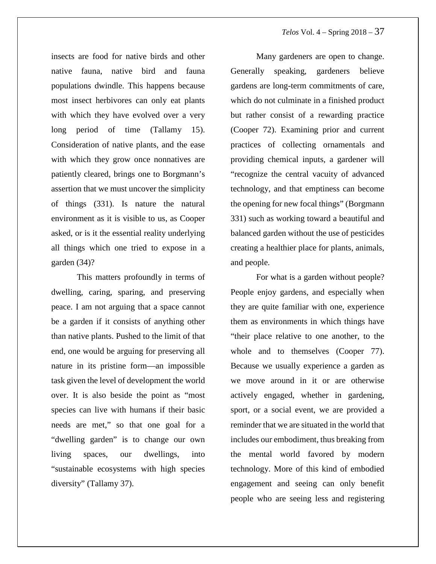insects are food for native birds and other native fauna, native bird and fauna populations dwindle. This happens because most insect herbivores can only eat plants with which they have evolved over a very long period of time (Tallamy 15). Consideration of native plants, and the ease with which they grow once nonnatives are patiently cleared, brings one to Borgmann's assertion that we must uncover the simplicity of things (331). Is nature the natural environment as it is visible to us, as Cooper asked, or is it the essential reality underlying all things which one tried to expose in a garden (34)?

This matters profoundly in terms of dwelling, caring, sparing, and preserving peace. I am not arguing that a space cannot be a garden if it consists of anything other than native plants. Pushed to the limit of that end, one would be arguing for preserving all nature in its pristine form—an impossible task given the level of development the world over. It is also beside the point as "most species can live with humans if their basic needs are met," so that one goal for a "dwelling garden" is to change our own living spaces, our dwellings, into "sustainable ecosystems with high species diversity" (Tallamy 37).

Many gardeners are open to change. Generally speaking, gardeners believe gardens are long-term commitments of care, which do not culminate in a finished product but rather consist of a rewarding practice (Cooper 72). Examining prior and current practices of collecting ornamentals and providing chemical inputs, a gardener will "recognize the central vacuity of advanced technology, and that emptiness can become the opening for new focal things" (Borgmann 331) such as working toward a beautiful and balanced garden without the use of pesticides creating a healthier place for plants, animals, and people.

For what is a garden without people? People enjoy gardens, and especially when they are quite familiar with one, experience them as environments in which things have "their place relative to one another, to the whole and to themselves (Cooper 77). Because we usually experience a garden as we move around in it or are otherwise actively engaged, whether in gardening, sport, or a social event, we are provided a reminder that we are situated in the world that includes our embodiment, thus breaking from the mental world favored by modern technology. More of this kind of embodied engagement and seeing can only benefit people who are seeing less and registering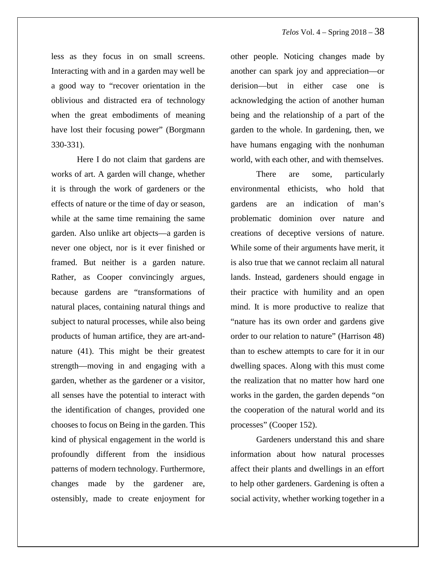less as they focus in on small screens. Interacting with and in a garden may well be a good way to "recover orientation in the oblivious and distracted era of technology when the great embodiments of meaning have lost their focusing power" (Borgmann 330-331).

Here I do not claim that gardens are works of art. A garden will change, whether it is through the work of gardeners or the effects of nature or the time of day or season, while at the same time remaining the same garden. Also unlike art objects—a garden is never one object, nor is it ever finished or framed. But neither is a garden nature. Rather, as Cooper convincingly argues, because gardens are "transformations of natural places, containing natural things and subject to natural processes, while also being products of human artifice, they are art-andnature (41). This might be their greatest strength—moving in and engaging with a garden, whether as the gardener or a visitor, all senses have the potential to interact with the identification of changes, provided one chooses to focus on Being in the garden. This kind of physical engagement in the world is profoundly different from the insidious patterns of modern technology. Furthermore, changes made by the gardener are, ostensibly, made to create enjoyment for

other people. Noticing changes made by another can spark joy and appreciation—or derision—but in either case one is acknowledging the action of another human being and the relationship of a part of the garden to the whole. In gardening, then, we have humans engaging with the nonhuman world, with each other, and with themselves.

There are some, particularly environmental ethicists, who hold that gardens are an indication of man's problematic dominion over nature and creations of deceptive versions of nature. While some of their arguments have merit, it is also true that we cannot reclaim all natural lands. Instead, gardeners should engage in their practice with humility and an open mind. It is more productive to realize that "nature has its own order and gardens give order to our relation to nature" (Harrison 48) than to eschew attempts to care for it in our dwelling spaces. Along with this must come the realization that no matter how hard one works in the garden, the garden depends "on the cooperation of the natural world and its processes" (Cooper 152).

Gardeners understand this and share information about how natural processes affect their plants and dwellings in an effort to help other gardeners. Gardening is often a social activity, whether working together in a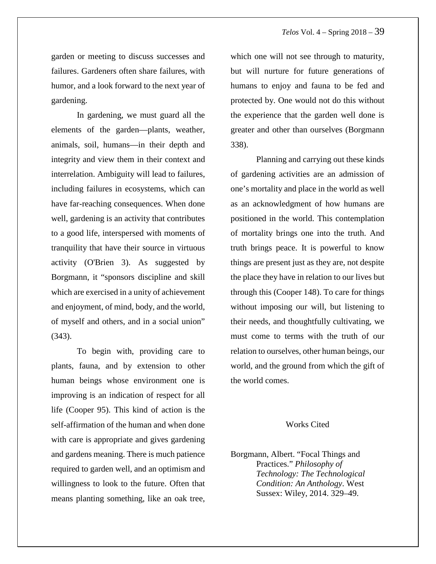garden or meeting to discuss successes and failures. Gardeners often share failures, with humor, and a look forward to the next year of gardening.

In gardening, we must guard all the elements of the garden—plants, weather, animals, soil, humans—in their depth and integrity and view them in their context and interrelation. Ambiguity will lead to failures, including failures in ecosystems, which can have far-reaching consequences. When done well, gardening is an activity that contributes to a good life, interspersed with moments of tranquility that have their source in virtuous activity (O'Brien 3). As suggested by Borgmann, it "sponsors discipline and skill which are exercised in a unity of achievement and enjoyment, of mind, body, and the world, of myself and others, and in a social union" (343).

To begin with, providing care to plants, fauna, and by extension to other human beings whose environment one is improving is an indication of respect for all life (Cooper 95). This kind of action is the self-affirmation of the human and when done with care is appropriate and gives gardening and gardens meaning. There is much patience required to garden well, and an optimism and willingness to look to the future. Often that means planting something, like an oak tree,

which one will not see through to maturity, but will nurture for future generations of humans to enjoy and fauna to be fed and protected by. One would not do this without the experience that the garden well done is greater and other than ourselves (Borgmann 338).

Planning and carrying out these kinds of gardening activities are an admission of one's mortality and place in the world as well as an acknowledgment of how humans are positioned in the world. This contemplation of mortality brings one into the truth. And truth brings peace. It is powerful to know things are present just as they are, not despite the place they have in relation to our lives but through this (Cooper 148). To care for things without imposing our will, but listening to their needs, and thoughtfully cultivating, we must come to terms with the truth of our relation to ourselves, other human beings, our world, and the ground from which the gift of the world comes.

#### Works Cited

Borgmann, Albert. "Focal Things and Practices." *Philosophy of Technology: The Technological Condition: An Anthology*. West Sussex: Wiley, 2014. 329–49.